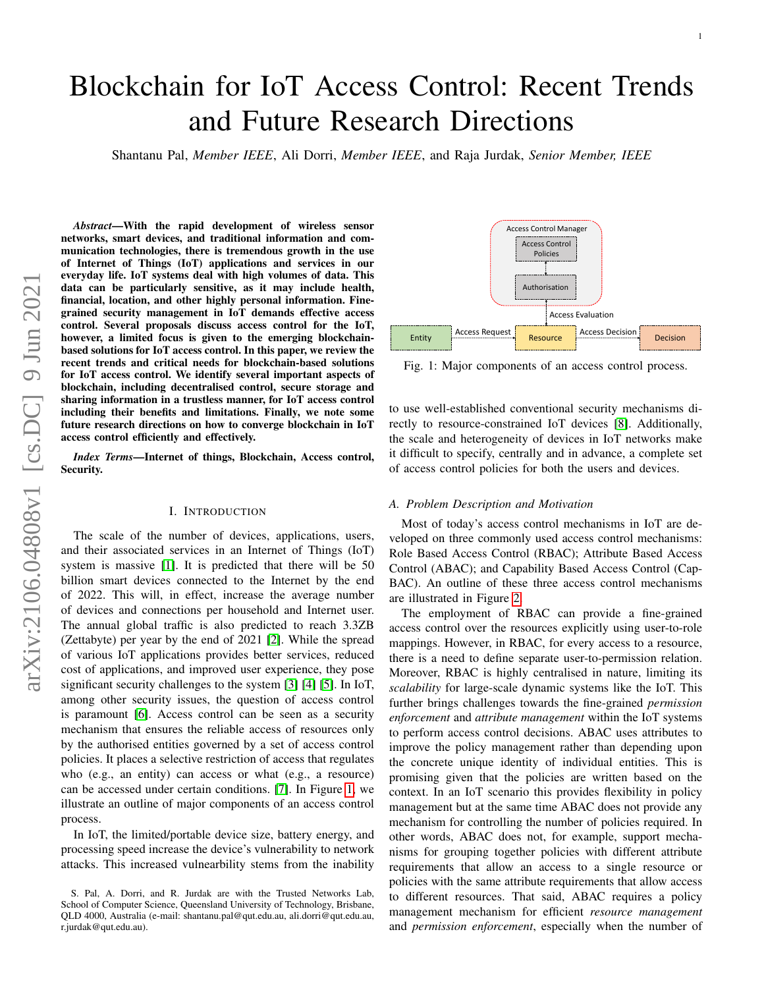# Blockchain for IoT Access Control: Recent Trends and Future Research Directions

Shantanu Pal, *Member IEEE*, Ali Dorri, *Member IEEE*, and Raja Jurdak, *Senior Member, IEEE*

*Abstract*—With the rapid development of wireless sensor networks, smart devices, and traditional information and communication technologies, there is tremendous growth in the use of Internet of Things (IoT) applications and services in our everyday life. IoT systems deal with high volumes of data. This data can be particularly sensitive, as it may include health, financial, location, and other highly personal information. Finegrained security management in IoT demands effective access control. Several proposals discuss access control for the IoT, however, a limited focus is given to the emerging blockchainbased solutions for IoT access control. In this paper, we review the recent trends and critical needs for blockchain-based solutions for IoT access control. We identify several important aspects of blockchain, including decentralised control, secure storage and sharing information in a trustless manner, for IoT access control including their benefits and limitations. Finally, we note some future research directions on how to converge blockchain in IoT access control efficiently and effectively.

*Index Terms*—Internet of things, Blockchain, Access control, Security.

#### I. INTRODUCTION

The scale of the number of devices, applications, users, and their associated services in an Internet of Things (IoT) system is massive [\[1\]](#page-15-0). It is predicted that there will be 50 billion smart devices connected to the Internet by the end of 2022. This will, in effect, increase the average number of devices and connections per household and Internet user. The annual global traffic is also predicted to reach 3.3ZB (Zettabyte) per year by the end of 2021 [\[2\]](#page-15-1). While the spread of various IoT applications provides better services, reduced cost of applications, and improved user experience, they pose significant security challenges to the system [\[3\]](#page-15-2) [\[4\]](#page-15-3) [\[5\]](#page-15-4). In IoT, among other security issues, the question of access control is paramount [\[6\]](#page-15-5). Access control can be seen as a security mechanism that ensures the reliable access of resources only by the authorised entities governed by a set of access control policies. It places a selective restriction of access that regulates who (e.g., an entity) can access or what (e.g., a resource) can be accessed under certain conditions. [\[7\]](#page-15-6). In Figure [1,](#page-0-0) we illustrate an outline of major components of an access control process.

In IoT, the limited/portable device size, battery energy, and processing speed increase the device's vulnerability to network attacks. This increased vulnearbility stems from the inability

<span id="page-0-0"></span>

Fig. 1: Major components of an access control process.

to use well-established conventional security mechanisms directly to resource-constrained IoT devices [\[8\]](#page-15-7). Additionally, the scale and heterogeneity of devices in IoT networks make it difficult to specify, centrally and in advance, a complete set of access control policies for both the users and devices.

#### *A. Problem Description and Motivation*

Most of today's access control mechanisms in IoT are developed on three commonly used access control mechanisms: Role Based Access Control (RBAC); Attribute Based Access Control (ABAC); and Capability Based Access Control (Cap-BAC). An outline of these three access control mechanisms are illustrated in Figure [2.](#page-1-0)

The employment of RBAC can provide a fine-grained access control over the resources explicitly using user-to-role mappings. However, in RBAC, for every access to a resource, there is a need to define separate user-to-permission relation. Moreover, RBAC is highly centralised in nature, limiting its *scalability* for large-scale dynamic systems like the IoT. This further brings challenges towards the fine-grained *permission enforcement* and *attribute management* within the IoT systems to perform access control decisions. ABAC uses attributes to improve the policy management rather than depending upon the concrete unique identity of individual entities. This is promising given that the policies are written based on the context. In an IoT scenario this provides flexibility in policy management but at the same time ABAC does not provide any mechanism for controlling the number of policies required. In other words, ABAC does not, for example, support mechanisms for grouping together policies with different attribute requirements that allow an access to a single resource or policies with the same attribute requirements that allow access to different resources. That said, ABAC requires a policy management mechanism for efficient *resource management* and *permission enforcement*, especially when the number of

S. Pal, A. Dorri, and R. Jurdak are with the Trusted Networks Lab, School of Computer Science, Queensland University of Technology, Brisbane, QLD 4000, Australia (e-mail: shantanu.pal@qut.edu.au, ali.dorri@qut.edu.au, r.jurdak@qut.edu.au).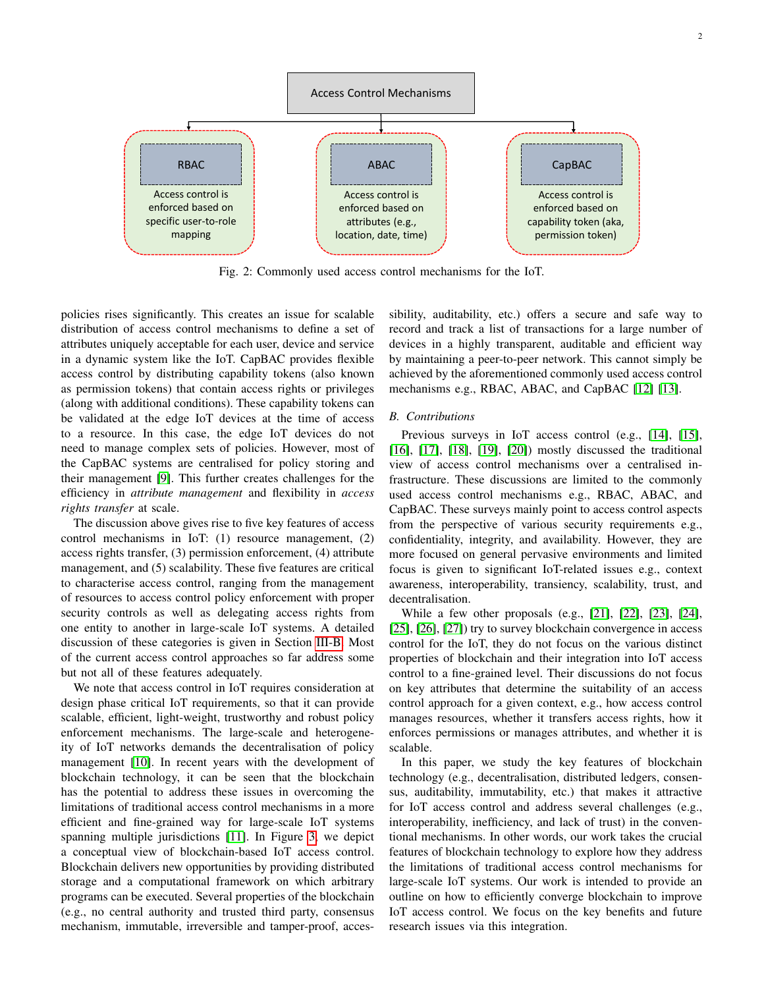<span id="page-1-0"></span>

Fig. 2: Commonly used access control mechanisms for the IoT.

policies rises significantly. This creates an issue for scalable distribution of access control mechanisms to define a set of attributes uniquely acceptable for each user, device and service in a dynamic system like the IoT. CapBAC provides flexible access control by distributing capability tokens (also known as permission tokens) that contain access rights or privileges (along with additional conditions). These capability tokens can be validated at the edge IoT devices at the time of access to a resource. In this case, the edge IoT devices do not need to manage complex sets of policies. However, most of the CapBAC systems are centralised for policy storing and their management [\[9\]](#page-16-0). This further creates challenges for the efficiency in *attribute management* and flexibility in *access rights transfer* at scale.

The discussion above gives rise to five key features of access control mechanisms in IoT: (1) resource management, (2) access rights transfer, (3) permission enforcement, (4) attribute management, and (5) scalability. These five features are critical to characterise access control, ranging from the management of resources to access control policy enforcement with proper security controls as well as delegating access rights from one entity to another in large-scale IoT systems. A detailed discussion of these categories is given in Section [III-B.](#page-4-0) Most of the current access control approaches so far address some but not all of these features adequately.

We note that access control in IoT requires consideration at design phase critical IoT requirements, so that it can provide scalable, efficient, light-weight, trustworthy and robust policy enforcement mechanisms. The large-scale and heterogeneity of IoT networks demands the decentralisation of policy management [\[10\]](#page-16-1). In recent years with the development of blockchain technology, it can be seen that the blockchain has the potential to address these issues in overcoming the limitations of traditional access control mechanisms in a more efficient and fine-grained way for large-scale IoT systems spanning multiple jurisdictions [\[11\]](#page-16-2). In Figure [3,](#page-3-0) we depict a conceptual view of blockchain-based IoT access control. Blockchain delivers new opportunities by providing distributed storage and a computational framework on which arbitrary programs can be executed. Several properties of the blockchain (e.g., no central authority and trusted third party, consensus mechanism, immutable, irreversible and tamper-proof, accessibility, auditability, etc.) offers a secure and safe way to record and track a list of transactions for a large number of devices in a highly transparent, auditable and efficient way by maintaining a peer-to-peer network. This cannot simply be achieved by the aforementioned commonly used access control mechanisms e.g., RBAC, ABAC, and CapBAC [\[12\]](#page-16-3) [\[13\]](#page-16-4).

#### *B. Contributions*

Previous surveys in IoT access control (e.g., [\[14\]](#page-16-5), [\[15\]](#page-16-6), [\[16\]](#page-16-7), [\[17\]](#page-16-8), [\[18\]](#page-16-9), [\[19\]](#page-16-10), [\[20\]](#page-16-11)) mostly discussed the traditional view of access control mechanisms over a centralised infrastructure. These discussions are limited to the commonly used access control mechanisms e.g., RBAC, ABAC, and CapBAC. These surveys mainly point to access control aspects from the perspective of various security requirements e.g., confidentiality, integrity, and availability. However, they are more focused on general pervasive environments and limited focus is given to significant IoT-related issues e.g., context awareness, interoperability, transiency, scalability, trust, and decentralisation.

While a few other proposals (e.g., [\[21\]](#page-16-12), [\[22\]](#page-16-13), [\[23\]](#page-16-14), [\[24\]](#page-16-15), [\[25\]](#page-16-16), [\[26\]](#page-16-17), [\[27\]](#page-16-18)) try to survey blockchain convergence in access control for the IoT, they do not focus on the various distinct properties of blockchain and their integration into IoT access control to a fine-grained level. Their discussions do not focus on key attributes that determine the suitability of an access control approach for a given context, e.g., how access control manages resources, whether it transfers access rights, how it enforces permissions or manages attributes, and whether it is scalable.

In this paper, we study the key features of blockchain technology (e.g., decentralisation, distributed ledgers, consensus, auditability, immutability, etc.) that makes it attractive for IoT access control and address several challenges (e.g., interoperability, inefficiency, and lack of trust) in the conventional mechanisms. In other words, our work takes the crucial features of blockchain technology to explore how they address the limitations of traditional access control mechanisms for large-scale IoT systems. Our work is intended to provide an outline on how to efficiently converge blockchain to improve IoT access control. We focus on the key benefits and future research issues via this integration.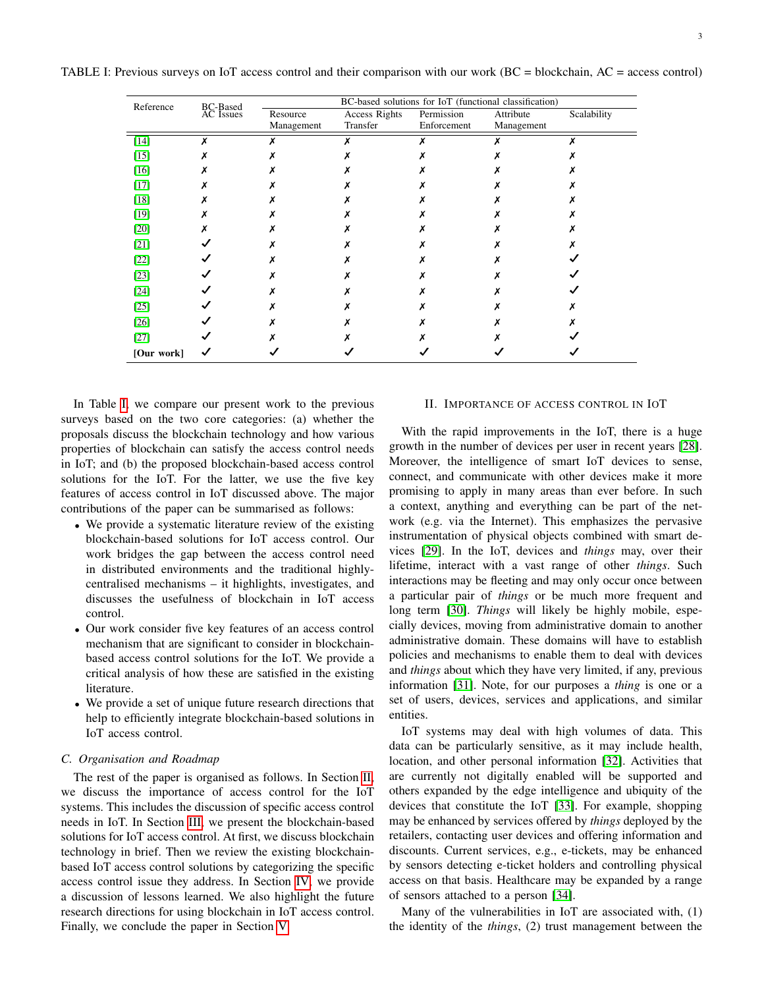| Reference  |                       | BC-based solutions for IoT (functional classification)<br>Scalability |          |             |            |  |  |
|------------|-----------------------|-----------------------------------------------------------------------|----------|-------------|------------|--|--|
|            | BC-Based<br>AC Issues | Access Rights<br>Resource                                             |          | Permission  | Attribute  |  |  |
|            |                       | Management                                                            | Transfer | Enforcement | Management |  |  |
| $[14]$     |                       |                                                                       | x        |             |            |  |  |
| $[15]$     |                       |                                                                       |          |             |            |  |  |
| $[16]$     |                       |                                                                       |          |             |            |  |  |
| $[17]$     |                       |                                                                       |          |             |            |  |  |
| $[18]$     |                       |                                                                       |          |             |            |  |  |
| $[19]$     |                       |                                                                       |          |             |            |  |  |
| $[20]$     |                       |                                                                       |          |             |            |  |  |
| $[21]$     |                       |                                                                       |          |             |            |  |  |
| $[22]$     |                       |                                                                       |          |             |            |  |  |
| $[23]$     |                       |                                                                       |          |             |            |  |  |
| $[24]$     |                       |                                                                       |          |             |            |  |  |
| $[25]$     |                       |                                                                       |          |             |            |  |  |
| $[26]$     |                       |                                                                       |          |             |            |  |  |
| $[27]$     |                       |                                                                       |          |             |            |  |  |
| [Our work] |                       |                                                                       |          |             |            |  |  |

<span id="page-2-0"></span>TABLE I: Previous surveys on IoT access control and their comparison with our work (BC = blockchain, AC = access control)

In Table [I,](#page-2-0) we compare our present work to the previous surveys based on the two core categories: (a) whether the proposals discuss the blockchain technology and how various properties of blockchain can satisfy the access control needs in IoT; and (b) the proposed blockchain-based access control solutions for the IoT. For the latter, we use the five key features of access control in IoT discussed above. The major contributions of the paper can be summarised as follows:

- We provide a systematic literature review of the existing blockchain-based solutions for IoT access control. Our work bridges the gap between the access control need in distributed environments and the traditional highlycentralised mechanisms – it highlights, investigates, and discusses the usefulness of blockchain in IoT access control.
- Our work consider five key features of an access control mechanism that are significant to consider in blockchainbased access control solutions for the IoT. We provide a critical analysis of how these are satisfied in the existing literature.
- We provide a set of unique future research directions that help to efficiently integrate blockchain-based solutions in IoT access control.

# *C. Organisation and Roadmap*

The rest of the paper is organised as follows. In Section [II,](#page-2-1) we discuss the importance of access control for the IoT systems. This includes the discussion of specific access control needs in IoT. In Section [III,](#page-3-1) we present the blockchain-based solutions for IoT access control. At first, we discuss blockchain technology in brief. Then we review the existing blockchainbased IoT access control solutions by categorizing the specific access control issue they address. In Section [IV,](#page-11-0) we provide a discussion of lessons learned. We also highlight the future research directions for using blockchain in IoT access control. Finally, we conclude the paper in Section [V.](#page-15-8)

# <span id="page-2-1"></span>II. IMPORTANCE OF ACCESS CONTROL IN IOT

With the rapid improvements in the IoT, there is a huge growth in the number of devices per user in recent years [\[28\]](#page-16-19). Moreover, the intelligence of smart IoT devices to sense, connect, and communicate with other devices make it more promising to apply in many areas than ever before. In such a context, anything and everything can be part of the network (e.g. via the Internet). This emphasizes the pervasive instrumentation of physical objects combined with smart devices [\[29\]](#page-16-20). In the IoT, devices and *things* may, over their lifetime, interact with a vast range of other *things*. Such interactions may be fleeting and may only occur once between a particular pair of *things* or be much more frequent and long term [\[30\]](#page-16-21). *Things* will likely be highly mobile, especially devices, moving from administrative domain to another administrative domain. These domains will have to establish policies and mechanisms to enable them to deal with devices and *things* about which they have very limited, if any, previous information [\[31\]](#page-16-22). Note, for our purposes a *thing* is one or a set of users, devices, services and applications, and similar entities.

IoT systems may deal with high volumes of data. This data can be particularly sensitive, as it may include health, location, and other personal information [\[32\]](#page-16-23). Activities that are currently not digitally enabled will be supported and others expanded by the edge intelligence and ubiquity of the devices that constitute the IoT [\[33\]](#page-16-24). For example, shopping may be enhanced by services offered by *things* deployed by the retailers, contacting user devices and offering information and discounts. Current services, e.g., e-tickets, may be enhanced by sensors detecting e-ticket holders and controlling physical access on that basis. Healthcare may be expanded by a range of sensors attached to a person [\[34\]](#page-16-25).

Many of the vulnerabilities in IoT are associated with, (1) the identity of the *things*, (2) trust management between the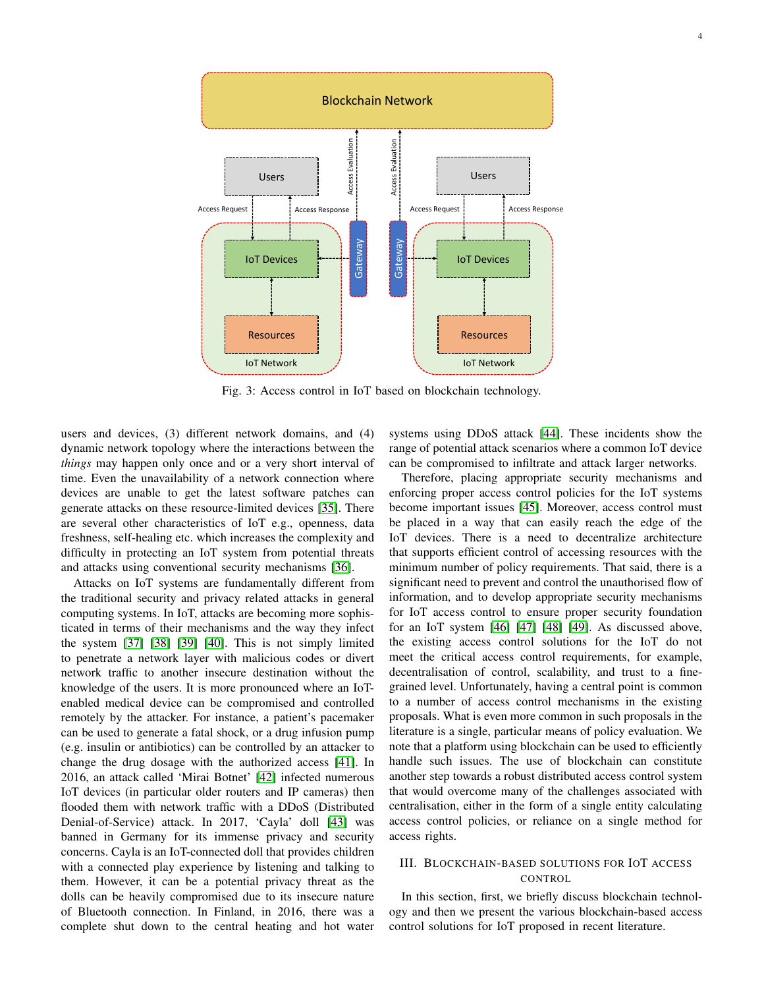<span id="page-3-0"></span>

Fig. 3: Access control in IoT based on blockchain technology.

users and devices, (3) different network domains, and (4) dynamic network topology where the interactions between the *things* may happen only once and or a very short interval of time. Even the unavailability of a network connection where devices are unable to get the latest software patches can generate attacks on these resource-limited devices [\[35\]](#page-16-26). There are several other characteristics of IoT e.g., openness, data freshness, self-healing etc. which increases the complexity and difficulty in protecting an IoT system from potential threats and attacks using conventional security mechanisms [\[36\]](#page-16-27).

Attacks on IoT systems are fundamentally different from the traditional security and privacy related attacks in general computing systems. In IoT, attacks are becoming more sophisticated in terms of their mechanisms and the way they infect the system [\[37\]](#page-16-28) [\[38\]](#page-16-29) [\[39\]](#page-16-30) [\[40\]](#page-16-31). This is not simply limited to penetrate a network layer with malicious codes or divert network traffic to another insecure destination without the knowledge of the users. It is more pronounced where an IoTenabled medical device can be compromised and controlled remotely by the attacker. For instance, a patient's pacemaker can be used to generate a fatal shock, or a drug infusion pump (e.g. insulin or antibiotics) can be controlled by an attacker to change the drug dosage with the authorized access [\[41\]](#page-16-32). In 2016, an attack called 'Mirai Botnet' [\[42\]](#page-16-33) infected numerous IoT devices (in particular older routers and IP cameras) then flooded them with network traffic with a DDoS (Distributed Denial-of-Service) attack. In 2017, 'Cayla' doll [\[43\]](#page-16-34) was banned in Germany for its immense privacy and security concerns. Cayla is an IoT-connected doll that provides children with a connected play experience by listening and talking to them. However, it can be a potential privacy threat as the dolls can be heavily compromised due to its insecure nature of Bluetooth connection. In Finland, in 2016, there was a complete shut down to the central heating and hot water

systems using DDoS attack [\[44\]](#page-16-35). These incidents show the range of potential attack scenarios where a common IoT device can be compromised to infiltrate and attack larger networks.

Therefore, placing appropriate security mechanisms and enforcing proper access control policies for the IoT systems become important issues [\[45\]](#page-16-36). Moreover, access control must be placed in a way that can easily reach the edge of the IoT devices. There is a need to decentralize architecture that supports efficient control of accessing resources with the minimum number of policy requirements. That said, there is a significant need to prevent and control the unauthorised flow of information, and to develop appropriate security mechanisms for IoT access control to ensure proper security foundation for an IoT system [\[46\]](#page-16-37) [\[47\]](#page-16-38) [\[48\]](#page-16-39) [\[49\]](#page-16-40). As discussed above, the existing access control solutions for the IoT do not meet the critical access control requirements, for example, decentralisation of control, scalability, and trust to a finegrained level. Unfortunately, having a central point is common to a number of access control mechanisms in the existing proposals. What is even more common in such proposals in the literature is a single, particular means of policy evaluation. We note that a platform using blockchain can be used to efficiently handle such issues. The use of blockchain can constitute another step towards a robust distributed access control system that would overcome many of the challenges associated with centralisation, either in the form of a single entity calculating access control policies, or reliance on a single method for access rights.

# <span id="page-3-1"></span>III. BLOCKCHAIN-BASED SOLUTIONS FOR IOT ACCESS CONTROL

In this section, first, we briefly discuss blockchain technology and then we present the various blockchain-based access control solutions for IoT proposed in recent literature.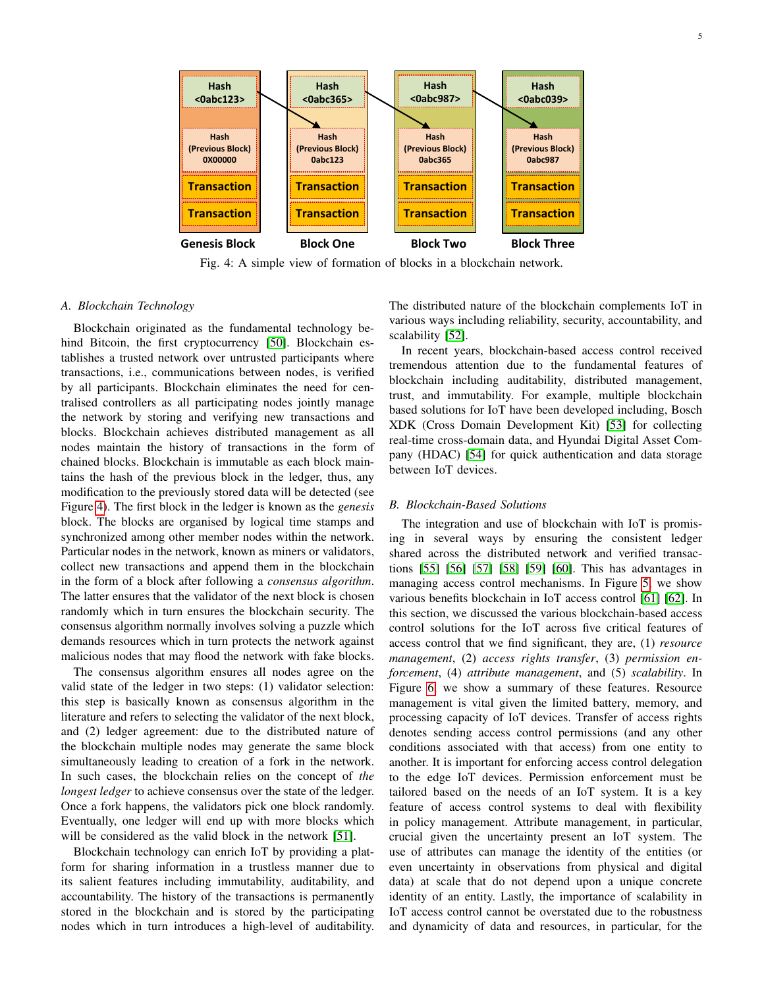<span id="page-4-1"></span>

Fig. 4: A simple view of formation of blocks in a blockchain network.

#### *A. Blockchain Technology*

Blockchain originated as the fundamental technology behind Bitcoin, the first cryptocurrency [\[50\]](#page-17-0). Blockchain establishes a trusted network over untrusted participants where transactions, i.e., communications between nodes, is verified by all participants. Blockchain eliminates the need for centralised controllers as all participating nodes jointly manage the network by storing and verifying new transactions and blocks. Blockchain achieves distributed management as all nodes maintain the history of transactions in the form of chained blocks. Blockchain is immutable as each block maintains the hash of the previous block in the ledger, thus, any modification to the previously stored data will be detected (see Figure [4\)](#page-4-1). The first block in the ledger is known as the *genesis* block. The blocks are organised by logical time stamps and synchronized among other member nodes within the network. Particular nodes in the network, known as miners or validators, collect new transactions and append them in the blockchain in the form of a block after following a *consensus algorithm*. The latter ensures that the validator of the next block is chosen randomly which in turn ensures the blockchain security. The consensus algorithm normally involves solving a puzzle which demands resources which in turn protects the network against malicious nodes that may flood the network with fake blocks.

The consensus algorithm ensures all nodes agree on the valid state of the ledger in two steps: (1) validator selection: this step is basically known as consensus algorithm in the literature and refers to selecting the validator of the next block, and (2) ledger agreement: due to the distributed nature of the blockchain multiple nodes may generate the same block simultaneously leading to creation of a fork in the network. In such cases, the blockchain relies on the concept of *the longest ledger* to achieve consensus over the state of the ledger. Once a fork happens, the validators pick one block randomly. Eventually, one ledger will end up with more blocks which will be considered as the valid block in the network [\[51\]](#page-17-1).

Blockchain technology can enrich IoT by providing a platform for sharing information in a trustless manner due to its salient features including immutability, auditability, and accountability. The history of the transactions is permanently stored in the blockchain and is stored by the participating nodes which in turn introduces a high-level of auditability. The distributed nature of the blockchain complements IoT in various ways including reliability, security, accountability, and scalability [\[52\]](#page-17-2).

In recent years, blockchain-based access control received tremendous attention due to the fundamental features of blockchain including auditability, distributed management, trust, and immutability. For example, multiple blockchain based solutions for IoT have been developed including, Bosch XDK (Cross Domain Development Kit) [\[53\]](#page-17-3) for collecting real-time cross-domain data, and Hyundai Digital Asset Company (HDAC) [\[54\]](#page-17-4) for quick authentication and data storage between IoT devices.

#### <span id="page-4-0"></span>*B. Blockchain-Based Solutions*

The integration and use of blockchain with IoT is promising in several ways by ensuring the consistent ledger shared across the distributed network and verified transactions [\[55\]](#page-17-5) [\[56\]](#page-17-6) [\[57\]](#page-17-7) [\[58\]](#page-17-8) [\[59\]](#page-17-9) [\[60\]](#page-17-10). This has advantages in managing access control mechanisms. In Figure [5,](#page-5-0) we show various benefits blockchain in IoT access control [\[61\]](#page-17-11) [\[62\]](#page-17-12). In this section, we discussed the various blockchain-based access control solutions for the IoT across five critical features of access control that we find significant, they are, (1) *resource management*, (2) *access rights transfer*, (3) *permission enforcement*, (4) *attribute management*, and (5) *scalability*. In Figure [6,](#page-6-0) we show a summary of these features. Resource management is vital given the limited battery, memory, and processing capacity of IoT devices. Transfer of access rights denotes sending access control permissions (and any other conditions associated with that access) from one entity to another. It is important for enforcing access control delegation to the edge IoT devices. Permission enforcement must be tailored based on the needs of an IoT system. It is a key feature of access control systems to deal with flexibility in policy management. Attribute management, in particular, crucial given the uncertainty present an IoT system. The use of attributes can manage the identity of the entities (or even uncertainty in observations from physical and digital data) at scale that do not depend upon a unique concrete identity of an entity. Lastly, the importance of scalability in IoT access control cannot be overstated due to the robustness and dynamicity of data and resources, in particular, for the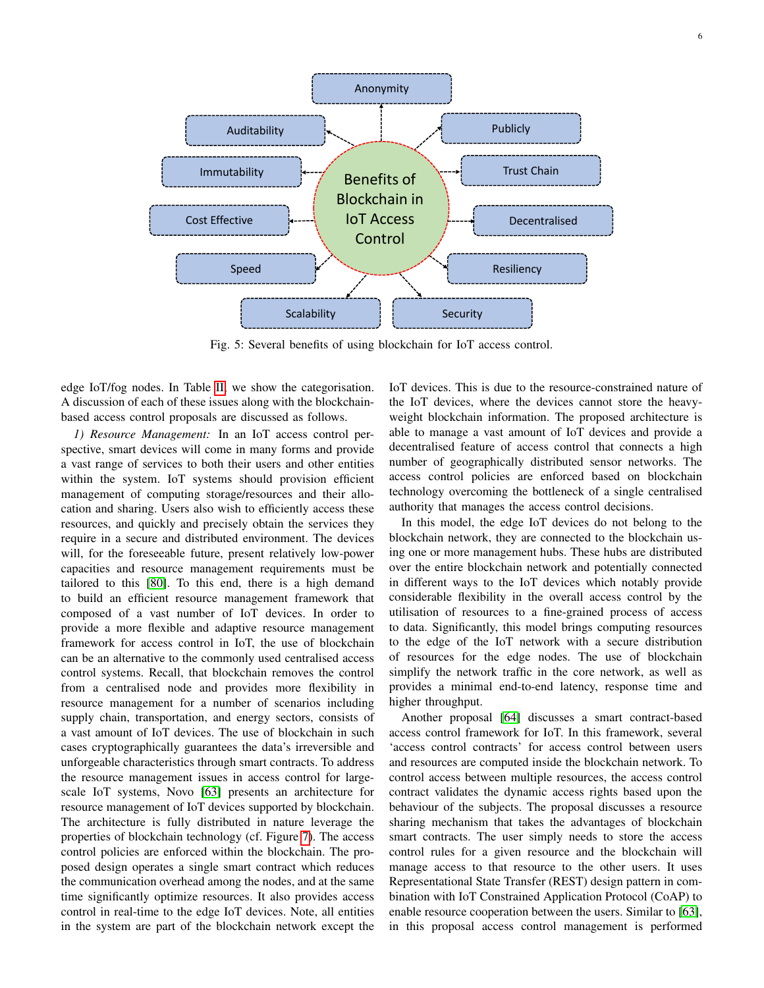<span id="page-5-0"></span>

Fig. 5: Several benefits of using blockchain for IoT access control.

edge IoT/fog nodes. In Table [II,](#page-7-0) we show the categorisation. A discussion of each of these issues along with the blockchainbased access control proposals are discussed as follows.

*1) Resource Management:* In an IoT access control perspective, smart devices will come in many forms and provide a vast range of services to both their users and other entities within the system. IoT systems should provision efficient management of computing storage/resources and their allocation and sharing. Users also wish to efficiently access these resources, and quickly and precisely obtain the services they require in a secure and distributed environment. The devices will, for the foreseeable future, present relatively low-power capacities and resource management requirements must be tailored to this [\[80\]](#page-17-13). To this end, there is a high demand to build an efficient resource management framework that composed of a vast number of IoT devices. In order to provide a more flexible and adaptive resource management framework for access control in IoT, the use of blockchain can be an alternative to the commonly used centralised access control systems. Recall, that blockchain removes the control from a centralised node and provides more flexibility in resource management for a number of scenarios including supply chain, transportation, and energy sectors, consists of a vast amount of IoT devices. The use of blockchain in such cases cryptographically guarantees the data's irreversible and unforgeable characteristics through smart contracts. To address the resource management issues in access control for largescale IoT systems, Novo [\[63\]](#page-17-14) presents an architecture for resource management of IoT devices supported by blockchain. The architecture is fully distributed in nature leverage the properties of blockchain technology (cf. Figure [7\)](#page-8-0). The access control policies are enforced within the blockchain. The proposed design operates a single smart contract which reduces the communication overhead among the nodes, and at the same time significantly optimize resources. It also provides access control in real-time to the edge IoT devices. Note, all entities in the system are part of the blockchain network except the

IoT devices. This is due to the resource-constrained nature of the IoT devices, where the devices cannot store the heavyweight blockchain information. The proposed architecture is able to manage a vast amount of IoT devices and provide a decentralised feature of access control that connects a high number of geographically distributed sensor networks. The access control policies are enforced based on blockchain technology overcoming the bottleneck of a single centralised authority that manages the access control decisions.

In this model, the edge IoT devices do not belong to the blockchain network, they are connected to the blockchain using one or more management hubs. These hubs are distributed over the entire blockchain network and potentially connected in different ways to the IoT devices which notably provide considerable flexibility in the overall access control by the utilisation of resources to a fine-grained process of access to data. Significantly, this model brings computing resources to the edge of the IoT network with a secure distribution of resources for the edge nodes. The use of blockchain simplify the network traffic in the core network, as well as provides a minimal end-to-end latency, response time and higher throughput.

Another proposal [\[64\]](#page-17-15) discusses a smart contract-based access control framework for IoT. In this framework, several 'access control contracts' for access control between users and resources are computed inside the blockchain network. To control access between multiple resources, the access control contract validates the dynamic access rights based upon the behaviour of the subjects. The proposal discusses a resource sharing mechanism that takes the advantages of blockchain smart contracts. The user simply needs to store the access control rules for a given resource and the blockchain will manage access to that resource to the other users. It uses Representational State Transfer (REST) design pattern in combination with IoT Constrained Application Protocol (CoAP) to enable resource cooperation between the users. Similar to [\[63\]](#page-17-14), in this proposal access control management is performed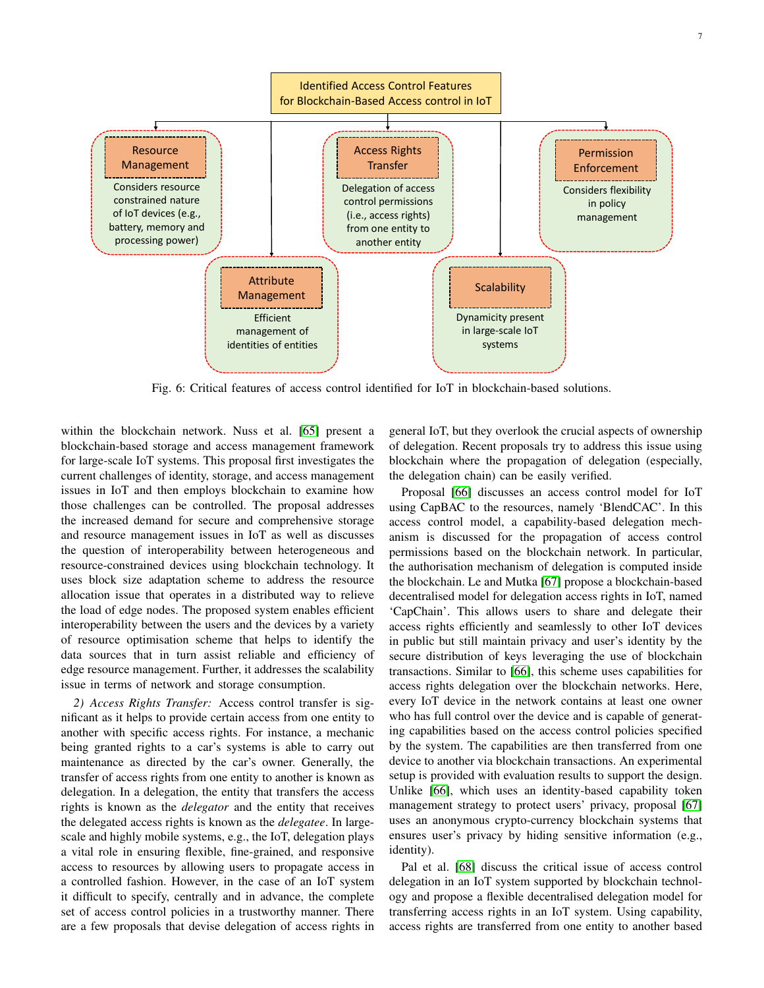<span id="page-6-0"></span>

Fig. 6: Critical features of access control identified for IoT in blockchain-based solutions.

within the blockchain network. Nuss et al. [\[65\]](#page-17-16) present a blockchain-based storage and access management framework for large-scale IoT systems. This proposal first investigates the current challenges of identity, storage, and access management issues in IoT and then employs blockchain to examine how those challenges can be controlled. The proposal addresses the increased demand for secure and comprehensive storage and resource management issues in IoT as well as discusses the question of interoperability between heterogeneous and resource-constrained devices using blockchain technology. It uses block size adaptation scheme to address the resource allocation issue that operates in a distributed way to relieve the load of edge nodes. The proposed system enables efficient interoperability between the users and the devices by a variety of resource optimisation scheme that helps to identify the data sources that in turn assist reliable and efficiency of edge resource management. Further, it addresses the scalability issue in terms of network and storage consumption.

*2) Access Rights Transfer:* Access control transfer is significant as it helps to provide certain access from one entity to another with specific access rights. For instance, a mechanic being granted rights to a car's systems is able to carry out maintenance as directed by the car's owner. Generally, the transfer of access rights from one entity to another is known as delegation. In a delegation, the entity that transfers the access rights is known as the *delegator* and the entity that receives the delegated access rights is known as the *delegatee*. In largescale and highly mobile systems, e.g., the IoT, delegation plays a vital role in ensuring flexible, fine-grained, and responsive access to resources by allowing users to propagate access in a controlled fashion. However, in the case of an IoT system it difficult to specify, centrally and in advance, the complete set of access control policies in a trustworthy manner. There are a few proposals that devise delegation of access rights in

general IoT, but they overlook the crucial aspects of ownership of delegation. Recent proposals try to address this issue using blockchain where the propagation of delegation (especially, the delegation chain) can be easily verified.

Proposal [\[66\]](#page-17-17) discusses an access control model for IoT using CapBAC to the resources, namely 'BlendCAC'. In this access control model, a capability-based delegation mechanism is discussed for the propagation of access control permissions based on the blockchain network. In particular, the authorisation mechanism of delegation is computed inside the blockchain. Le and Mutka [\[67\]](#page-17-18) propose a blockchain-based decentralised model for delegation access rights in IoT, named 'CapChain'. This allows users to share and delegate their access rights efficiently and seamlessly to other IoT devices in public but still maintain privacy and user's identity by the secure distribution of keys leveraging the use of blockchain transactions. Similar to [\[66\]](#page-17-17), this scheme uses capabilities for access rights delegation over the blockchain networks. Here, every IoT device in the network contains at least one owner who has full control over the device and is capable of generating capabilities based on the access control policies specified by the system. The capabilities are then transferred from one device to another via blockchain transactions. An experimental setup is provided with evaluation results to support the design. Unlike [\[66\]](#page-17-17), which uses an identity-based capability token management strategy to protect users' privacy, proposal [\[67\]](#page-17-18) uses an anonymous crypto-currency blockchain systems that ensures user's privacy by hiding sensitive information (e.g., identity).

Pal et al. [\[68\]](#page-17-19) discuss the critical issue of access control delegation in an IoT system supported by blockchain technology and propose a flexible decentralised delegation model for transferring access rights in an IoT system. Using capability, access rights are transferred from one entity to another based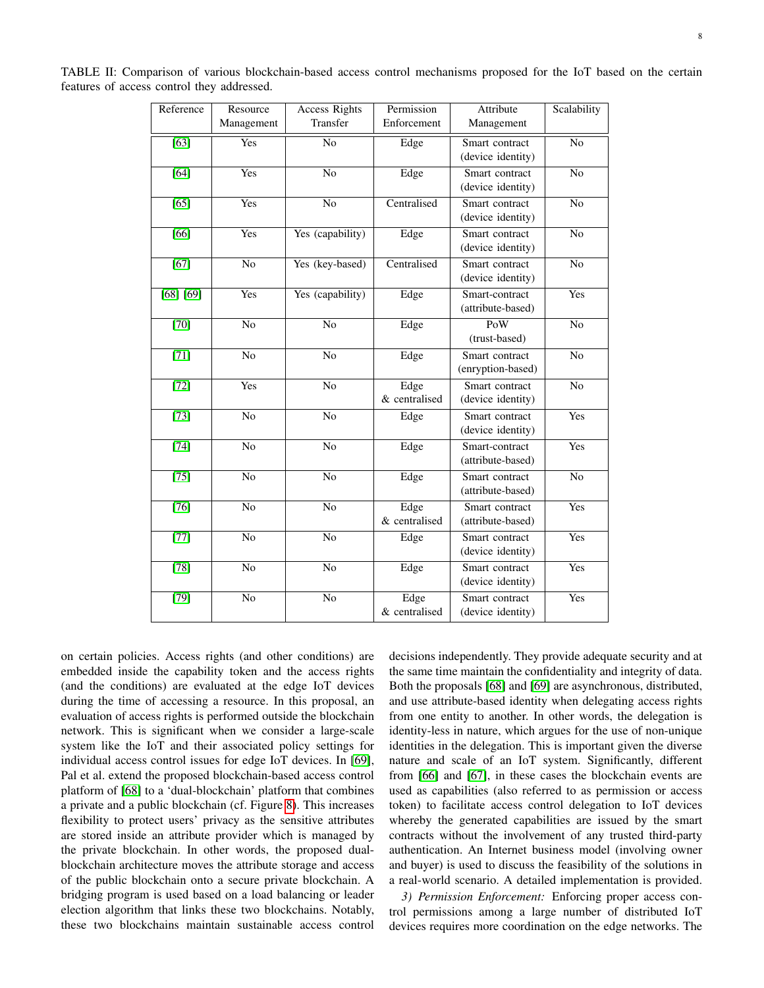<span id="page-7-0"></span>

|                                            | TABLE II: Comparison of various blockchain-based access control mechanisms proposed for the IoT based on the certain |  |  |  |  |  |  |
|--------------------------------------------|----------------------------------------------------------------------------------------------------------------------|--|--|--|--|--|--|
| features of access control they addressed. |                                                                                                                      |  |  |  |  |  |  |

| Reference         | Resource        | <b>Access Rights</b> | Permission                                  | Attribute                           | Scalability    |
|-------------------|-----------------|----------------------|---------------------------------------------|-------------------------------------|----------------|
|                   | Management      | Transfer             | Enforcement                                 | Management                          |                |
| $\overline{[63]}$ | Yes             | N <sub>o</sub>       | Edge<br>Smart contract<br>(device identity) |                                     | N <sub>o</sub> |
| [64]              | Yes             | No                   | Edge                                        | Smart contract<br>(device identity) | No             |
| $[65]$            | Yes             | N <sub>o</sub>       | Centralised                                 | Smart contract<br>(device identity) | N <sub>o</sub> |
| $\overline{[66]}$ | Yes             | Yes (capability)     | Edge                                        | Smart contract<br>(device identity) | N <sub>o</sub> |
| $\overline{[67]}$ | No              | Yes (key-based)      | Centralised                                 | Smart contract<br>(device identity) |                |
| [68] [69]         | Yes             | Yes (capability)     | Edge                                        | Smart-contract<br>(attribute-based) | Yes            |
| $[70]$            | No              | N <sub>o</sub>       | Edge                                        | PoW<br>(trust-based)                | N <sub>o</sub> |
| $[71]$            | $\overline{No}$ | No                   | Edge                                        | Smart contract<br>(enryption-based) | N <sub>o</sub> |
| $[72]$            | Yes             | No                   | Edge<br>& centralised                       | Smart contract<br>(device identity) | No             |
| $[73]$            | N <sub>o</sub>  | N <sub>o</sub>       | Edge                                        | Smart contract<br>(device identity) | Yes            |
| $[74]$            | N <sub>o</sub>  | N <sub>o</sub>       | Edge                                        | Smart-contract<br>(attribute-based) | Yes            |
| $[75]$            | $\overline{No}$ | $\overline{No}$      | Edge                                        | Smart contract<br>(attribute-based) | N <sub>o</sub> |
| $[76]$            | $\overline{No}$ | $\overline{No}$      | Edge<br>& centralised                       | Smart contract<br>(attribute-based) | Yes            |
| $[77]$            | N <sub>o</sub>  | N <sub>o</sub>       | Edge                                        | Smart contract<br>(device identity) | Yes            |
| $[78]$            | No              | N <sub>o</sub>       | Edge                                        | Smart contract<br>(device identity) | Yes            |
| $[79]$            | No              | $\overline{No}$      | Edge<br>& centralised                       | Smart contract<br>(device identity) | Yes            |

on certain policies. Access rights (and other conditions) are embedded inside the capability token and the access rights (and the conditions) are evaluated at the edge IoT devices during the time of accessing a resource. In this proposal, an evaluation of access rights is performed outside the blockchain network. This is significant when we consider a large-scale system like the IoT and their associated policy settings for individual access control issues for edge IoT devices. In [\[69\]](#page-17-20), Pal et al. extend the proposed blockchain-based access control platform of [\[68\]](#page-17-19) to a 'dual-blockchain' platform that combines a private and a public blockchain (cf. Figure [8\)](#page-9-0). This increases flexibility to protect users' privacy as the sensitive attributes are stored inside an attribute provider which is managed by the private blockchain. In other words, the proposed dualblockchain architecture moves the attribute storage and access of the public blockchain onto a secure private blockchain. A bridging program is used based on a load balancing or leader election algorithm that links these two blockchains. Notably, these two blockchains maintain sustainable access control decisions independently. They provide adequate security and at the same time maintain the confidentiality and integrity of data. Both the proposals [\[68\]](#page-17-19) and [\[69\]](#page-17-20) are asynchronous, distributed, and use attribute-based identity when delegating access rights from one entity to another. In other words, the delegation is identity-less in nature, which argues for the use of non-unique identities in the delegation. This is important given the diverse nature and scale of an IoT system. Significantly, different from [\[66\]](#page-17-17) and [\[67\]](#page-17-18), in these cases the blockchain events are used as capabilities (also referred to as permission or access token) to facilitate access control delegation to IoT devices whereby the generated capabilities are issued by the smart contracts without the involvement of any trusted third-party authentication. An Internet business model (involving owner and buyer) is used to discuss the feasibility of the solutions in a real-world scenario. A detailed implementation is provided.

*3) Permission Enforcement:* Enforcing proper access control permissions among a large number of distributed IoT devices requires more coordination on the edge networks. The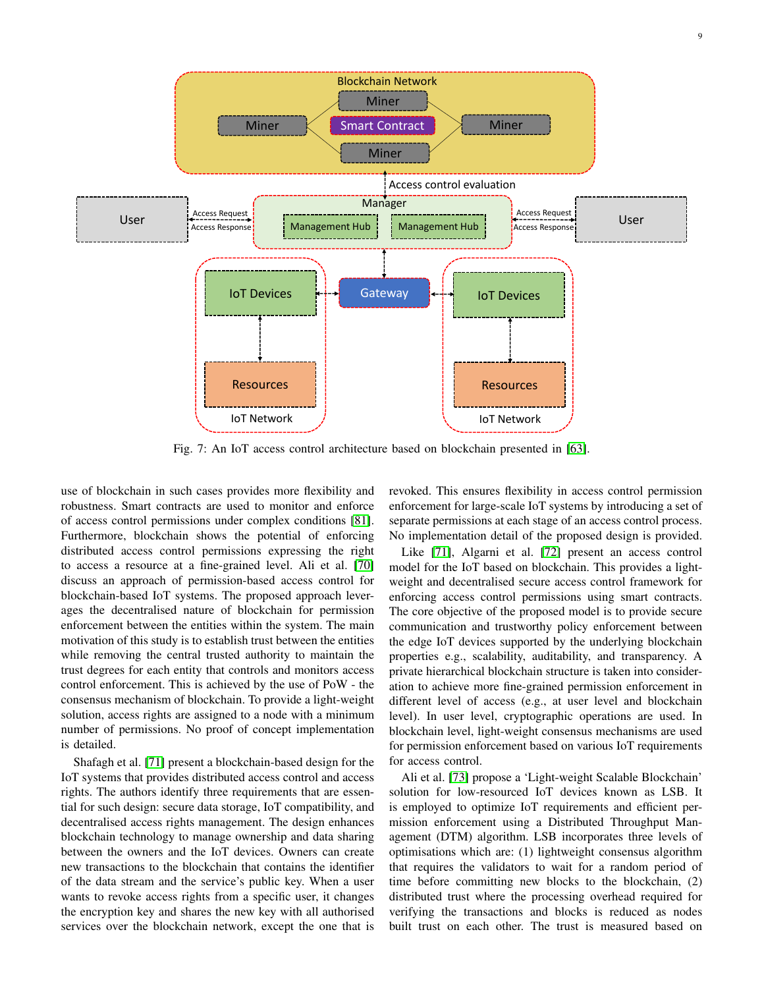<span id="page-8-0"></span>

Fig. 7: An IoT access control architecture based on blockchain presented in [\[63\]](#page-17-14).

use of blockchain in such cases provides more flexibility and robustness. Smart contracts are used to monitor and enforce of access control permissions under complex conditions [\[81\]](#page-17-31). Furthermore, blockchain shows the potential of enforcing distributed access control permissions expressing the right to access a resource at a fine-grained level. Ali et al. [\[70\]](#page-17-21) discuss an approach of permission-based access control for blockchain-based IoT systems. The proposed approach leverages the decentralised nature of blockchain for permission enforcement between the entities within the system. The main motivation of this study is to establish trust between the entities while removing the central trusted authority to maintain the trust degrees for each entity that controls and monitors access control enforcement. This is achieved by the use of PoW - the consensus mechanism of blockchain. To provide a light-weight solution, access rights are assigned to a node with a minimum number of permissions. No proof of concept implementation is detailed.

Shafagh et al. [\[71\]](#page-17-22) present a blockchain-based design for the IoT systems that provides distributed access control and access rights. The authors identify three requirements that are essential for such design: secure data storage, IoT compatibility, and decentralised access rights management. The design enhances blockchain technology to manage ownership and data sharing between the owners and the IoT devices. Owners can create new transactions to the blockchain that contains the identifier of the data stream and the service's public key. When a user wants to revoke access rights from a specific user, it changes the encryption key and shares the new key with all authorised services over the blockchain network, except the one that is

revoked. This ensures flexibility in access control permission enforcement for large-scale IoT systems by introducing a set of separate permissions at each stage of an access control process. No implementation detail of the proposed design is provided.

Like [\[71\]](#page-17-22), Algarni et al. [\[72\]](#page-17-23) present an access control model for the IoT based on blockchain. This provides a lightweight and decentralised secure access control framework for enforcing access control permissions using smart contracts. The core objective of the proposed model is to provide secure communication and trustworthy policy enforcement between the edge IoT devices supported by the underlying blockchain properties e.g., scalability, auditability, and transparency. A private hierarchical blockchain structure is taken into consideration to achieve more fine-grained permission enforcement in different level of access (e.g., at user level and blockchain level). In user level, cryptographic operations are used. In blockchain level, light-weight consensus mechanisms are used for permission enforcement based on various IoT requirements for access control.

Ali et al. [\[73\]](#page-17-24) propose a 'Light-weight Scalable Blockchain' solution for low-resourced IoT devices known as LSB. It is employed to optimize IoT requirements and efficient permission enforcement using a Distributed Throughput Management (DTM) algorithm. LSB incorporates three levels of optimisations which are: (1) lightweight consensus algorithm that requires the validators to wait for a random period of time before committing new blocks to the blockchain, (2) distributed trust where the processing overhead required for verifying the transactions and blocks is reduced as nodes built trust on each other. The trust is measured based on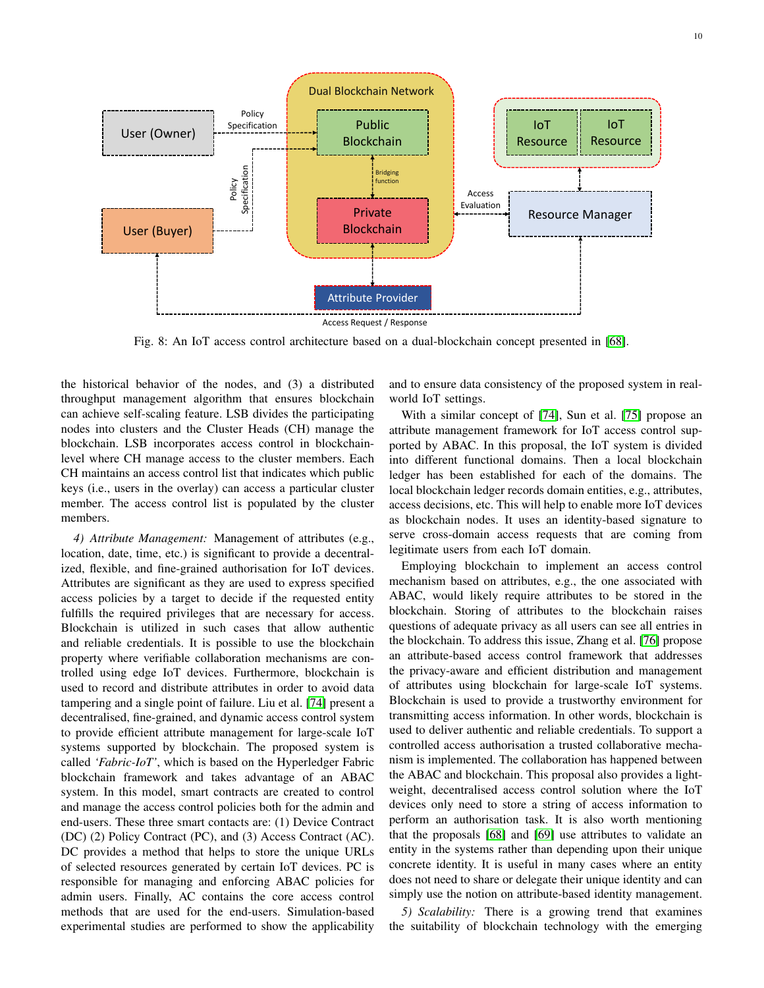<span id="page-9-0"></span>

Fig. 8: An IoT access control architecture based on a dual-blockchain concept presented in [\[68\]](#page-17-19).

the historical behavior of the nodes, and (3) a distributed throughput management algorithm that ensures blockchain can achieve self-scaling feature. LSB divides the participating nodes into clusters and the Cluster Heads (CH) manage the blockchain. LSB incorporates access control in blockchainlevel where CH manage access to the cluster members. Each CH maintains an access control list that indicates which public keys (i.e., users in the overlay) can access a particular cluster member. The access control list is populated by the cluster members.

*4) Attribute Management:* Management of attributes (e.g., location, date, time, etc.) is significant to provide a decentralized, flexible, and fine-grained authorisation for IoT devices. Attributes are significant as they are used to express specified access policies by a target to decide if the requested entity fulfills the required privileges that are necessary for access. Blockchain is utilized in such cases that allow authentic and reliable credentials. It is possible to use the blockchain property where verifiable collaboration mechanisms are controlled using edge IoT devices. Furthermore, blockchain is used to record and distribute attributes in order to avoid data tampering and a single point of failure. Liu et al. [\[74\]](#page-17-25) present a decentralised, fine-grained, and dynamic access control system to provide efficient attribute management for large-scale IoT systems supported by blockchain. The proposed system is called *'Fabric-IoT'*, which is based on the Hyperledger Fabric blockchain framework and takes advantage of an ABAC system. In this model, smart contracts are created to control and manage the access control policies both for the admin and end-users. These three smart contacts are: (1) Device Contract (DC) (2) Policy Contract (PC), and (3) Access Contract (AC). DC provides a method that helps to store the unique URLs of selected resources generated by certain IoT devices. PC is responsible for managing and enforcing ABAC policies for admin users. Finally, AC contains the core access control methods that are used for the end-users. Simulation-based experimental studies are performed to show the applicability

and to ensure data consistency of the proposed system in realworld IoT settings.

With a similar concept of [\[74\]](#page-17-25), Sun et al. [\[75\]](#page-17-26) propose an attribute management framework for IoT access control supported by ABAC. In this proposal, the IoT system is divided into different functional domains. Then a local blockchain ledger has been established for each of the domains. The local blockchain ledger records domain entities, e.g., attributes, access decisions, etc. This will help to enable more IoT devices as blockchain nodes. It uses an identity-based signature to serve cross-domain access requests that are coming from legitimate users from each IoT domain.

Employing blockchain to implement an access control mechanism based on attributes, e.g., the one associated with ABAC, would likely require attributes to be stored in the blockchain. Storing of attributes to the blockchain raises questions of adequate privacy as all users can see all entries in the blockchain. To address this issue, Zhang et al. [\[76\]](#page-17-27) propose an attribute-based access control framework that addresses the privacy-aware and efficient distribution and management of attributes using blockchain for large-scale IoT systems. Blockchain is used to provide a trustworthy environment for transmitting access information. In other words, blockchain is used to deliver authentic and reliable credentials. To support a controlled access authorisation a trusted collaborative mechanism is implemented. The collaboration has happened between the ABAC and blockchain. This proposal also provides a lightweight, decentralised access control solution where the IoT devices only need to store a string of access information to perform an authorisation task. It is also worth mentioning that the proposals [\[68\]](#page-17-19) and [\[69\]](#page-17-20) use attributes to validate an entity in the systems rather than depending upon their unique concrete identity. It is useful in many cases where an entity does not need to share or delegate their unique identity and can simply use the notion on attribute-based identity management.

*5) Scalability:* There is a growing trend that examines the suitability of blockchain technology with the emerging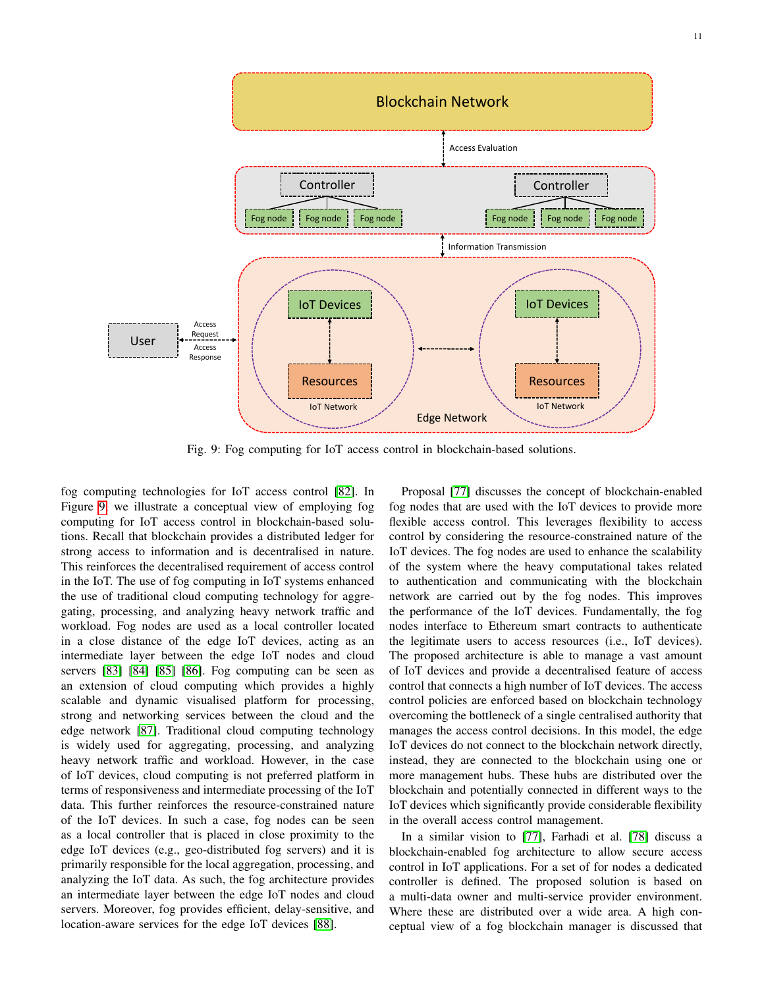<span id="page-10-0"></span>

Fig. 9: Fog computing for IoT access control in blockchain-based solutions.

fog computing technologies for IoT access control [\[82\]](#page-17-32). In Figure [9,](#page-10-0) we illustrate a conceptual view of employing fog computing for IoT access control in blockchain-based solutions. Recall that blockchain provides a distributed ledger for strong access to information and is decentralised in nature. This reinforces the decentralised requirement of access control in the IoT. The use of fog computing in IoT systems enhanced the use of traditional cloud computing technology for aggregating, processing, and analyzing heavy network traffic and workload. Fog nodes are used as a local controller located in a close distance of the edge IoT devices, acting as an intermediate layer between the edge IoT nodes and cloud servers [\[83\]](#page-17-33) [\[84\]](#page-17-34) [\[85\]](#page-17-35) [\[86\]](#page-17-36). Fog computing can be seen as an extension of cloud computing which provides a highly scalable and dynamic visualised platform for processing, strong and networking services between the cloud and the edge network [\[87\]](#page-17-37). Traditional cloud computing technology is widely used for aggregating, processing, and analyzing heavy network traffic and workload. However, in the case of IoT devices, cloud computing is not preferred platform in terms of responsiveness and intermediate processing of the IoT data. This further reinforces the resource-constrained nature of the IoT devices. In such a case, fog nodes can be seen as a local controller that is placed in close proximity to the edge IoT devices (e.g., geo-distributed fog servers) and it is primarily responsible for the local aggregation, processing, and analyzing the IoT data. As such, the fog architecture provides an intermediate layer between the edge IoT nodes and cloud servers. Moreover, fog provides efficient, delay-sensitive, and location-aware services for the edge IoT devices [\[88\]](#page-17-38).

Proposal [\[77\]](#page-17-28) discusses the concept of blockchain-enabled fog nodes that are used with the IoT devices to provide more flexible access control. This leverages flexibility to access control by considering the resource-constrained nature of the IoT devices. The fog nodes are used to enhance the scalability of the system where the heavy computational takes related to authentication and communicating with the blockchain network are carried out by the fog nodes. This improves the performance of the IoT devices. Fundamentally, the fog nodes interface to Ethereum smart contracts to authenticate the legitimate users to access resources (i.e., IoT devices). The proposed architecture is able to manage a vast amount of IoT devices and provide a decentralised feature of access control that connects a high number of IoT devices. The access control policies are enforced based on blockchain technology overcoming the bottleneck of a single centralised authority that manages the access control decisions. In this model, the edge IoT devices do not connect to the blockchain network directly, instead, they are connected to the blockchain using one or more management hubs. These hubs are distributed over the blockchain and potentially connected in different ways to the IoT devices which significantly provide considerable flexibility in the overall access control management.

In a similar vision to [\[77\]](#page-17-28), Farhadi et al. [\[78\]](#page-17-29) discuss a blockchain-enabled fog architecture to allow secure access control in IoT applications. For a set of for nodes a dedicated controller is defined. The proposed solution is based on a multi-data owner and multi-service provider environment. Where these are distributed over a wide area. A high conceptual view of a fog blockchain manager is discussed that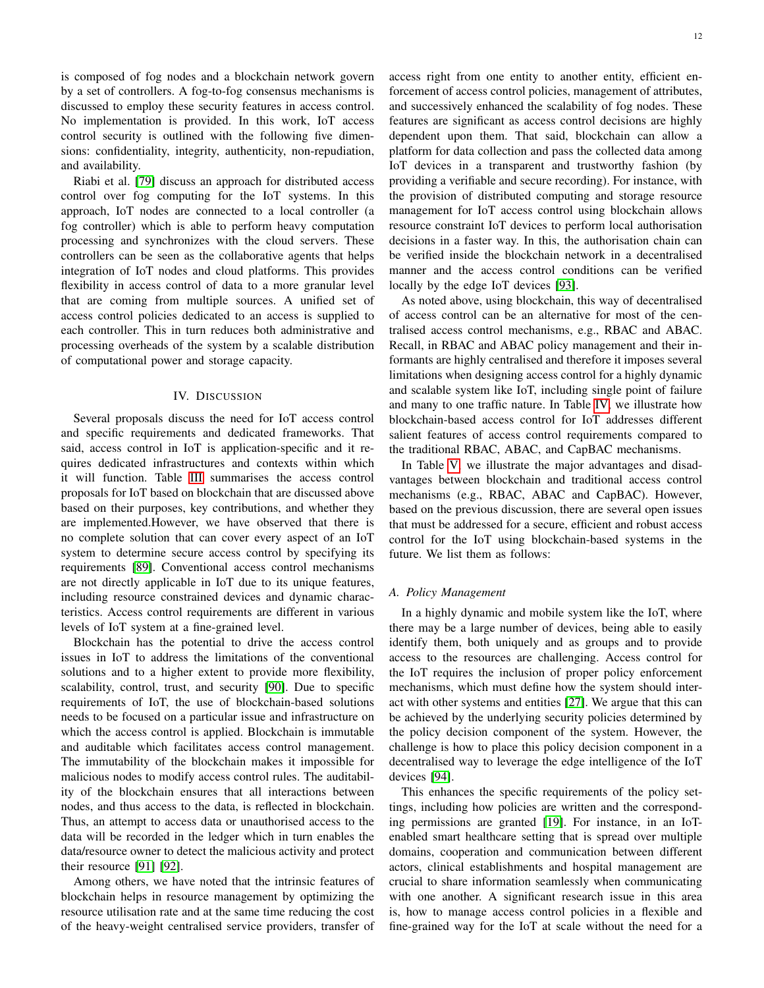is composed of fog nodes and a blockchain network govern by a set of controllers. A fog-to-fog consensus mechanisms is discussed to employ these security features in access control. No implementation is provided. In this work, IoT access control security is outlined with the following five dimensions: confidentiality, integrity, authenticity, non-repudiation, and availability.

Riabi et al. [\[79\]](#page-17-30) discuss an approach for distributed access control over fog computing for the IoT systems. In this approach, IoT nodes are connected to a local controller (a fog controller) which is able to perform heavy computation processing and synchronizes with the cloud servers. These controllers can be seen as the collaborative agents that helps integration of IoT nodes and cloud platforms. This provides flexibility in access control of data to a more granular level that are coming from multiple sources. A unified set of access control policies dedicated to an access is supplied to each controller. This in turn reduces both administrative and processing overheads of the system by a scalable distribution of computational power and storage capacity.

#### IV. DISCUSSION

<span id="page-11-0"></span>Several proposals discuss the need for IoT access control and specific requirements and dedicated frameworks. That said, access control in IoT is application-specific and it requires dedicated infrastructures and contexts within which it will function. Table [III](#page-12-0) summarises the access control proposals for IoT based on blockchain that are discussed above based on their purposes, key contributions, and whether they are implemented.However, we have observed that there is no complete solution that can cover every aspect of an IoT system to determine secure access control by specifying its requirements [\[89\]](#page-17-39). Conventional access control mechanisms are not directly applicable in IoT due to its unique features, including resource constrained devices and dynamic characteristics. Access control requirements are different in various levels of IoT system at a fine-grained level.

Blockchain has the potential to drive the access control issues in IoT to address the limitations of the conventional solutions and to a higher extent to provide more flexibility, scalability, control, trust, and security [\[90\]](#page-17-40). Due to specific requirements of IoT, the use of blockchain-based solutions needs to be focused on a particular issue and infrastructure on which the access control is applied. Blockchain is immutable and auditable which facilitates access control management. The immutability of the blockchain makes it impossible for malicious nodes to modify access control rules. The auditability of the blockchain ensures that all interactions between nodes, and thus access to the data, is reflected in blockchain. Thus, an attempt to access data or unauthorised access to the data will be recorded in the ledger which in turn enables the data/resource owner to detect the malicious activity and protect their resource [\[91\]](#page-18-0) [\[92\]](#page-18-1).

Among others, we have noted that the intrinsic features of blockchain helps in resource management by optimizing the resource utilisation rate and at the same time reducing the cost of the heavy-weight centralised service providers, transfer of access right from one entity to another entity, efficient enforcement of access control policies, management of attributes, and successively enhanced the scalability of fog nodes. These features are significant as access control decisions are highly dependent upon them. That said, blockchain can allow a platform for data collection and pass the collected data among IoT devices in a transparent and trustworthy fashion (by providing a verifiable and secure recording). For instance, with the provision of distributed computing and storage resource management for IoT access control using blockchain allows resource constraint IoT devices to perform local authorisation decisions in a faster way. In this, the authorisation chain can be verified inside the blockchain network in a decentralised manner and the access control conditions can be verified locally by the edge IoT devices [\[93\]](#page-18-2).

As noted above, using blockchain, this way of decentralised of access control can be an alternative for most of the centralised access control mechanisms, e.g., RBAC and ABAC. Recall, in RBAC and ABAC policy management and their informants are highly centralised and therefore it imposes several limitations when designing access control for a highly dynamic and scalable system like IoT, including single point of failure and many to one traffic nature. In Table [IV,](#page-13-0) we illustrate how blockchain-based access control for IoT addresses different salient features of access control requirements compared to the traditional RBAC, ABAC, and CapBAC mechanisms.

In Table [V,](#page-14-0) we illustrate the major advantages and disadvantages between blockchain and traditional access control mechanisms (e.g., RBAC, ABAC and CapBAC). However, based on the previous discussion, there are several open issues that must be addressed for a secure, efficient and robust access control for the IoT using blockchain-based systems in the future. We list them as follows:

#### *A. Policy Management*

In a highly dynamic and mobile system like the IoT, where there may be a large number of devices, being able to easily identify them, both uniquely and as groups and to provide access to the resources are challenging. Access control for the IoT requires the inclusion of proper policy enforcement mechanisms, which must define how the system should interact with other systems and entities [\[27\]](#page-16-18). We argue that this can be achieved by the underlying security policies determined by the policy decision component of the system. However, the challenge is how to place this policy decision component in a decentralised way to leverage the edge intelligence of the IoT devices [\[94\]](#page-18-3).

This enhances the specific requirements of the policy settings, including how policies are written and the corresponding permissions are granted [\[19\]](#page-16-10). For instance, in an IoTenabled smart healthcare setting that is spread over multiple domains, cooperation and communication between different actors, clinical establishments and hospital management are crucial to share information seamlessly when communicating with one another. A significant research issue in this area is, how to manage access control policies in a flexible and fine-grained way for the IoT at scale without the need for a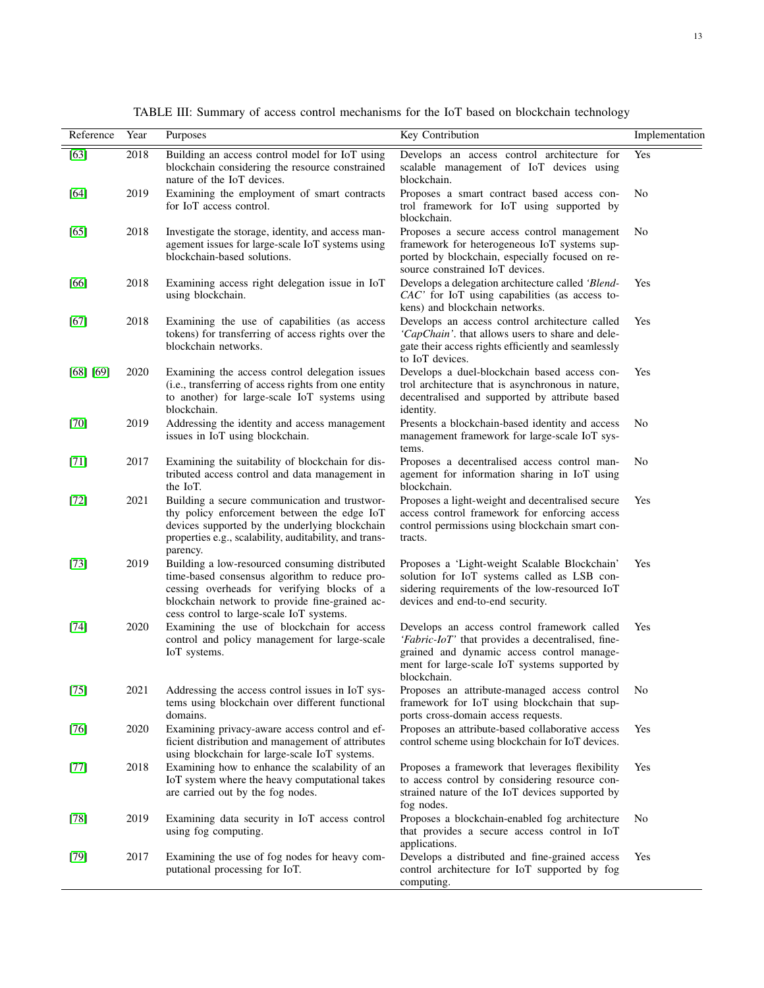<span id="page-12-0"></span>

| Reference | Year | Purposes                                                                                                                                                                                                                                     | Key Contribution                                                                                                                                                                                               | Implementation |
|-----------|------|----------------------------------------------------------------------------------------------------------------------------------------------------------------------------------------------------------------------------------------------|----------------------------------------------------------------------------------------------------------------------------------------------------------------------------------------------------------------|----------------|
| $[63]$    | 2018 | Building an access control model for IoT using<br>blockchain considering the resource constrained<br>nature of the IoT devices.                                                                                                              | Develops an access control architecture for<br>scalable management of IoT devices using<br>blockchain.                                                                                                         | Yes            |
| [64]      | 2019 | Examining the employment of smart contracts<br>for IoT access control.                                                                                                                                                                       | Proposes a smart contract based access con-<br>trol framework for IoT using supported by<br>blockchain.                                                                                                        | No             |
| [65]      | 2018 | Investigate the storage, identity, and access man-<br>agement issues for large-scale IoT systems using<br>blockchain-based solutions.                                                                                                        | Proposes a secure access control management<br>framework for heterogeneous IoT systems sup-<br>ported by blockchain, especially focused on re-<br>source constrained IoT devices.                              | No             |
| [66]      | 2018 | Examining access right delegation issue in IoT<br>using blockchain.                                                                                                                                                                          | Develops a delegation architecture called 'Blend-<br>CAC' for IoT using capabilities (as access to-<br>kens) and blockchain networks.                                                                          | <b>Yes</b>     |
| $[67]$    | 2018 | Examining the use of capabilities (as access<br>tokens) for transferring of access rights over the<br>blockchain networks.                                                                                                                   | Develops an access control architecture called<br>'CapChain'. that allows users to share and dele-<br>gate their access rights efficiently and seamlessly<br>to IoT devices.                                   | <b>Yes</b>     |
| [68] [69] | 2020 | Examining the access control delegation issues<br>(i.e., transferring of access rights from one entity<br>to another) for large-scale IoT systems using<br>blockchain.                                                                       | Develops a duel-blockchain based access con-<br>trol architecture that is asynchronous in nature,<br>decentralised and supported by attribute based<br>identity.                                               | Yes            |
| $[70]$    | 2019 | Addressing the identity and access management<br>issues in IoT using blockchain.                                                                                                                                                             | Presents a blockchain-based identity and access<br>management framework for large-scale IoT sys-<br>tems.                                                                                                      | No             |
| $[71]$    | 2017 | Examining the suitability of blockchain for dis-<br>tributed access control and data management in<br>the IoT.                                                                                                                               | Proposes a decentralised access control man-<br>agement for information sharing in IoT using<br>blockchain.                                                                                                    | No             |
| $[72]$    | 2021 | Building a secure communication and trustwor-<br>thy policy enforcement between the edge IoT<br>devices supported by the underlying blockchain<br>properties e.g., scalability, auditability, and trans-<br>parency.                         | Proposes a light-weight and decentralised secure<br>access control framework for enforcing access<br>control permissions using blockchain smart con-<br>tracts.                                                | Yes            |
| $[73]$    | 2019 | Building a low-resourced consuming distributed<br>time-based consensus algorithm to reduce pro-<br>cessing overheads for verifying blocks of a<br>blockchain network to provide fine-grained ac-<br>cess control to large-scale IoT systems. | Proposes a 'Light-weight Scalable Blockchain'<br>solution for IoT systems called as LSB con-<br>sidering requirements of the low-resourced IoT<br>devices and end-to-end security.                             | <b>Yes</b>     |
| $[74]$    | 2020 | Examining the use of blockchain for access<br>control and policy management for large-scale<br>IoT systems.                                                                                                                                  | Develops an access control framework called<br>'Fabric-IoT' that provides a decentralised, fine-<br>grained and dynamic access control manage-<br>ment for large-scale IoT systems supported by<br>blockchain. | Yes            |
| $[75]$    | 2021 | Addressing the access control issues in IoT sys-<br>tems using blockchain over different functional<br>domains.                                                                                                                              | Proposes an attribute-managed access control<br>framework for IoT using blockchain that sup-<br>ports cross-domain access requests.                                                                            | No             |
| $[76]$    | 2020 | Examining privacy-aware access control and ef-<br>ficient distribution and management of attributes<br>using blockchain for large-scale IoT systems.                                                                                         | Proposes an attribute-based collaborative access<br>control scheme using blockchain for IoT devices.                                                                                                           | <b>Yes</b>     |
| $[77]$    | 2018 | Examining how to enhance the scalability of an<br>IoT system where the heavy computational takes<br>are carried out by the fog nodes.                                                                                                        | Proposes a framework that leverages flexibility<br>to access control by considering resource con-<br>strained nature of the IoT devices supported by<br>fog nodes.                                             | Yes            |
| $[78]$    | 2019 | Examining data security in IoT access control<br>using fog computing.                                                                                                                                                                        | Proposes a blockchain-enabled fog architecture<br>that provides a secure access control in IoT<br>applications.                                                                                                | No             |
| $[79]$    | 2017 | Examining the use of fog nodes for heavy com-<br>putational processing for IoT.                                                                                                                                                              | Develops a distributed and fine-grained access<br>control architecture for IoT supported by fog<br>computing.                                                                                                  | Yes            |

TABLE III: Summary of access control mechanisms for the IoT based on blockchain technology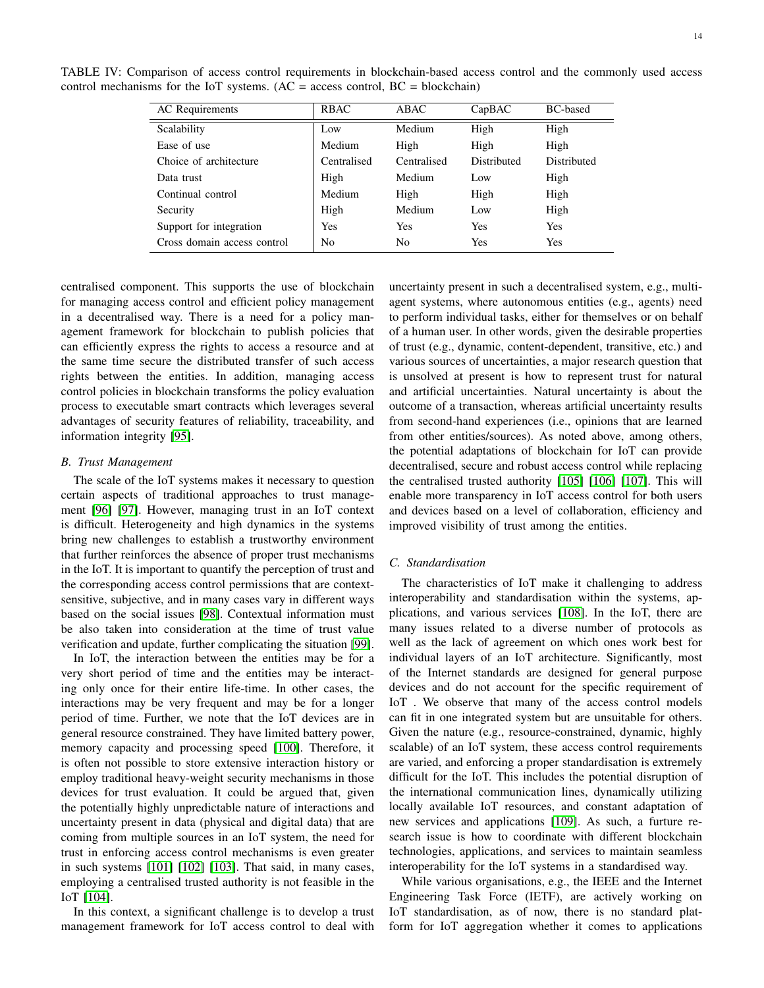AC Requirements RBAC ABAC CapBAC BC-based Scalability **Low** Medium High High Ease of use  $\qquad$  Medium High High High High Choice of architecture Centralised Centralised Distributed Distributed Data trust **High** Medium Low High Continual control **Medium** High High High High Security **High** Medium Low High Support for integration  $\qquad$  Yes Yes Yes Yes Yes Cross domain access control No No Yes Yes

<span id="page-13-0"></span>TABLE IV: Comparison of access control requirements in blockchain-based access control and the commonly used access control mechanisms for the IoT systems.  $(AC = access control, BC = blockchain)$ 

centralised component. This supports the use of blockchain for managing access control and efficient policy management in a decentralised way. There is a need for a policy management framework for blockchain to publish policies that can efficiently express the rights to access a resource and at the same time secure the distributed transfer of such access rights between the entities. In addition, managing access control policies in blockchain transforms the policy evaluation process to executable smart contracts which leverages several advantages of security features of reliability, traceability, and information integrity [\[95\]](#page-18-4).

### *B. Trust Management*

The scale of the IoT systems makes it necessary to question certain aspects of traditional approaches to trust management [\[96\]](#page-18-5) [\[97\]](#page-18-6). However, managing trust in an IoT context is difficult. Heterogeneity and high dynamics in the systems bring new challenges to establish a trustworthy environment that further reinforces the absence of proper trust mechanisms in the IoT. It is important to quantify the perception of trust and the corresponding access control permissions that are contextsensitive, subjective, and in many cases vary in different ways based on the social issues [\[98\]](#page-18-7). Contextual information must be also taken into consideration at the time of trust value verification and update, further complicating the situation [\[99\]](#page-18-8).

In IoT, the interaction between the entities may be for a very short period of time and the entities may be interacting only once for their entire life-time. In other cases, the interactions may be very frequent and may be for a longer period of time. Further, we note that the IoT devices are in general resource constrained. They have limited battery power, memory capacity and processing speed [\[100\]](#page-18-9). Therefore, it is often not possible to store extensive interaction history or employ traditional heavy-weight security mechanisms in those devices for trust evaluation. It could be argued that, given the potentially highly unpredictable nature of interactions and uncertainty present in data (physical and digital data) that are coming from multiple sources in an IoT system, the need for trust in enforcing access control mechanisms is even greater in such systems [\[101\]](#page-18-10) [\[102\]](#page-18-11) [\[103\]](#page-18-12). That said, in many cases, employing a centralised trusted authority is not feasible in the IoT [\[104\]](#page-18-13).

In this context, a significant challenge is to develop a trust management framework for IoT access control to deal with

uncertainty present in such a decentralised system, e.g., multiagent systems, where autonomous entities (e.g., agents) need to perform individual tasks, either for themselves or on behalf of a human user. In other words, given the desirable properties of trust (e.g., dynamic, content-dependent, transitive, etc.) and various sources of uncertainties, a major research question that is unsolved at present is how to represent trust for natural and artificial uncertainties. Natural uncertainty is about the outcome of a transaction, whereas artificial uncertainty results from second-hand experiences (i.e., opinions that are learned from other entities/sources). As noted above, among others, the potential adaptations of blockchain for IoT can provide decentralised, secure and robust access control while replacing the centralised trusted authority [\[105\]](#page-18-14) [\[106\]](#page-18-15) [\[107\]](#page-18-16). This will enable more transparency in IoT access control for both users and devices based on a level of collaboration, efficiency and improved visibility of trust among the entities.

# *C. Standardisation*

The characteristics of IoT make it challenging to address interoperability and standardisation within the systems, applications, and various services [\[108\]](#page-18-17). In the IoT, there are many issues related to a diverse number of protocols as well as the lack of agreement on which ones work best for individual layers of an IoT architecture. Significantly, most of the Internet standards are designed for general purpose devices and do not account for the specific requirement of IoT . We observe that many of the access control models can fit in one integrated system but are unsuitable for others. Given the nature (e.g., resource-constrained, dynamic, highly scalable) of an IoT system, these access control requirements are varied, and enforcing a proper standardisation is extremely difficult for the IoT. This includes the potential disruption of the international communication lines, dynamically utilizing locally available IoT resources, and constant adaptation of new services and applications [\[109\]](#page-18-18). As such, a furture research issue is how to coordinate with different blockchain technologies, applications, and services to maintain seamless interoperability for the IoT systems in a standardised way.

While various organisations, e.g., the IEEE and the Internet Engineering Task Force (IETF), are actively working on IoT standardisation, as of now, there is no standard platform for IoT aggregation whether it comes to applications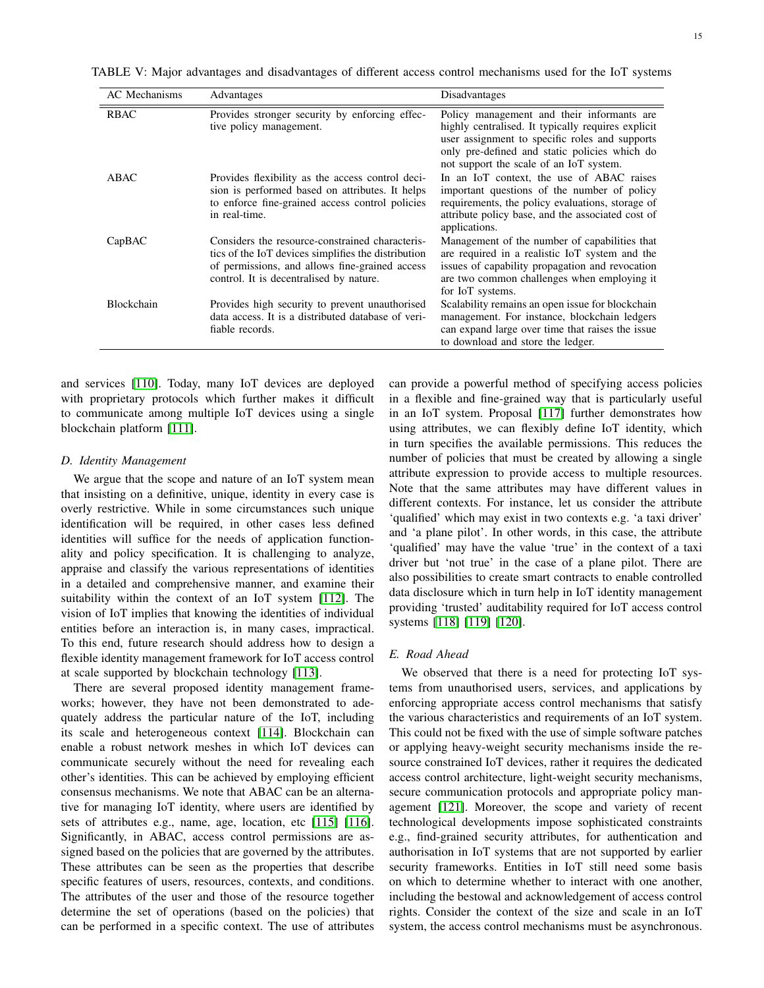<span id="page-14-0"></span>TABLE V: Major advantages and disadvantages of different access control mechanisms used for the IoT systems

| AC Mechanisms | Advantages                                                                                                                                                                                          | Disadvantages                                                                                                                                                                                                                                  |
|---------------|-----------------------------------------------------------------------------------------------------------------------------------------------------------------------------------------------------|------------------------------------------------------------------------------------------------------------------------------------------------------------------------------------------------------------------------------------------------|
| <b>RBAC</b>   | Provides stronger security by enforcing effec-<br>tive policy management.                                                                                                                           | Policy management and their informants are<br>highly centralised. It typically requires explicit<br>user assignment to specific roles and supports<br>only pre-defined and static policies which do<br>not support the scale of an IoT system. |
| ABAC          | Provides flexibility as the access control deci-<br>sion is performed based on attributes. It helps<br>to enforce fine-grained access control policies<br>in real-time.                             | In an IoT context, the use of ABAC raises<br>important questions of the number of policy<br>requirements, the policy evaluations, storage of<br>attribute policy base, and the associated cost of<br>applications.                             |
| CapBAC        | Considers the resource-constrained characteris-<br>tics of the IoT devices simplifies the distribution<br>of permissions, and allows fine-grained access<br>control. It is decentralised by nature. | Management of the number of capabilities that<br>are required in a realistic IoT system and the<br>issues of capability propagation and revocation<br>are two common challenges when employing it<br>for IoT systems.                          |
| Blockchain    | Provides high security to prevent unauthorised<br>data access. It is a distributed database of veri-<br>fiable records.                                                                             | Scalability remains an open issue for blockchain<br>management. For instance, blockchain ledgers<br>can expand large over time that raises the issue<br>to download and store the ledger.                                                      |

and services [\[110\]](#page-18-19). Today, many IoT devices are deployed with proprietary protocols which further makes it difficult to communicate among multiple IoT devices using a single blockchain platform [\[111\]](#page-18-20).

#### *D. Identity Management*

We argue that the scope and nature of an IoT system mean that insisting on a definitive, unique, identity in every case is overly restrictive. While in some circumstances such unique identification will be required, in other cases less defined identities will suffice for the needs of application functionality and policy specification. It is challenging to analyze, appraise and classify the various representations of identities in a detailed and comprehensive manner, and examine their suitability within the context of an IoT system [\[112\]](#page-18-21). The vision of IoT implies that knowing the identities of individual entities before an interaction is, in many cases, impractical. To this end, future research should address how to design a flexible identity management framework for IoT access control at scale supported by blockchain technology [\[113\]](#page-18-22).

There are several proposed identity management frameworks; however, they have not been demonstrated to adequately address the particular nature of the IoT, including its scale and heterogeneous context [\[114\]](#page-18-23). Blockchain can enable a robust network meshes in which IoT devices can communicate securely without the need for revealing each other's identities. This can be achieved by employing efficient consensus mechanisms. We note that ABAC can be an alternative for managing IoT identity, where users are identified by sets of attributes e.g., name, age, location, etc [\[115\]](#page-18-24) [\[116\]](#page-18-25). Significantly, in ABAC, access control permissions are assigned based on the policies that are governed by the attributes. These attributes can be seen as the properties that describe specific features of users, resources, contexts, and conditions. The attributes of the user and those of the resource together determine the set of operations (based on the policies) that can be performed in a specific context. The use of attributes can provide a powerful method of specifying access policies in a flexible and fine-grained way that is particularly useful in an IoT system. Proposal [\[117\]](#page-18-26) further demonstrates how using attributes, we can flexibly define IoT identity, which in turn specifies the available permissions. This reduces the number of policies that must be created by allowing a single attribute expression to provide access to multiple resources. Note that the same attributes may have different values in different contexts. For instance, let us consider the attribute 'qualified' which may exist in two contexts e.g. 'a taxi driver' and 'a plane pilot'. In other words, in this case, the attribute 'qualified' may have the value 'true' in the context of a taxi driver but 'not true' in the case of a plane pilot. There are also possibilities to create smart contracts to enable controlled data disclosure which in turn help in IoT identity management providing 'trusted' auditability required for IoT access control systems [\[118\]](#page-18-27) [\[119\]](#page-18-28) [\[120\]](#page-18-29).

# *E. Road Ahead*

We observed that there is a need for protecting IoT systems from unauthorised users, services, and applications by enforcing appropriate access control mechanisms that satisfy the various characteristics and requirements of an IoT system. This could not be fixed with the use of simple software patches or applying heavy-weight security mechanisms inside the resource constrained IoT devices, rather it requires the dedicated access control architecture, light-weight security mechanisms, secure communication protocols and appropriate policy management [\[121\]](#page-18-30). Moreover, the scope and variety of recent technological developments impose sophisticated constraints e.g., find-grained security attributes, for authentication and authorisation in IoT systems that are not supported by earlier security frameworks. Entities in IoT still need some basis on which to determine whether to interact with one another, including the bestowal and acknowledgement of access control rights. Consider the context of the size and scale in an IoT system, the access control mechanisms must be asynchronous.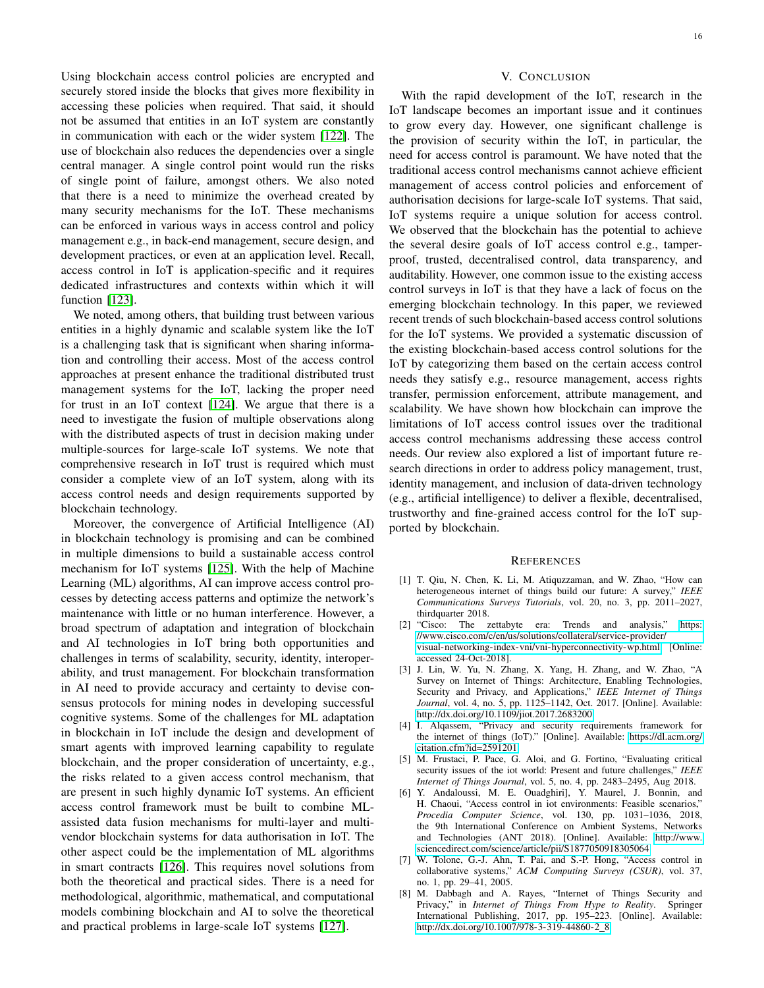Using blockchain access control policies are encrypted and securely stored inside the blocks that gives more flexibility in accessing these policies when required. That said, it should not be assumed that entities in an IoT system are constantly in communication with each or the wider system [\[122\]](#page-18-31). The use of blockchain also reduces the dependencies over a single central manager. A single control point would run the risks of single point of failure, amongst others. We also noted that there is a need to minimize the overhead created by many security mechanisms for the IoT. These mechanisms can be enforced in various ways in access control and policy management e.g., in back-end management, secure design, and development practices, or even at an application level. Recall, access control in IoT is application-specific and it requires dedicated infrastructures and contexts within which it will function [\[123\]](#page-18-32).

We noted, among others, that building trust between various entities in a highly dynamic and scalable system like the IoT is a challenging task that is significant when sharing information and controlling their access. Most of the access control approaches at present enhance the traditional distributed trust management systems for the IoT, lacking the proper need for trust in an IoT context [\[124\]](#page-18-33). We argue that there is a need to investigate the fusion of multiple observations along with the distributed aspects of trust in decision making under multiple-sources for large-scale IoT systems. We note that comprehensive research in IoT trust is required which must consider a complete view of an IoT system, along with its access control needs and design requirements supported by blockchain technology.

Moreover, the convergence of Artificial Intelligence (AI) in blockchain technology is promising and can be combined in multiple dimensions to build a sustainable access control mechanism for IoT systems [\[125\]](#page-18-34). With the help of Machine Learning (ML) algorithms, AI can improve access control processes by detecting access patterns and optimize the network's maintenance with little or no human interference. However, a broad spectrum of adaptation and integration of blockchain and AI technologies in IoT bring both opportunities and challenges in terms of scalability, security, identity, interoperability, and trust management. For blockchain transformation in AI need to provide accuracy and certainty to devise consensus protocols for mining nodes in developing successful cognitive systems. Some of the challenges for ML adaptation in blockchain in IoT include the design and development of smart agents with improved learning capability to regulate blockchain, and the proper consideration of uncertainty, e.g., the risks related to a given access control mechanism, that are present in such highly dynamic IoT systems. An efficient access control framework must be built to combine MLassisted data fusion mechanisms for multi-layer and multivendor blockchain systems for data authorisation in IoT. The other aspect could be the implementation of ML algorithms in smart contracts [\[126\]](#page-18-35). This requires novel solutions from both the theoretical and practical sides. There is a need for methodological, algorithmic, mathematical, and computational models combining blockchain and AI to solve the theoretical and practical problems in large-scale IoT systems [\[127\]](#page-18-36).

# V. CONCLUSION

<span id="page-15-8"></span>With the rapid development of the IoT, research in the IoT landscape becomes an important issue and it continues to grow every day. However, one significant challenge is the provision of security within the IoT, in particular, the need for access control is paramount. We have noted that the traditional access control mechanisms cannot achieve efficient management of access control policies and enforcement of authorisation decisions for large-scale IoT systems. That said, IoT systems require a unique solution for access control. We observed that the blockchain has the potential to achieve the several desire goals of IoT access control e.g., tamperproof, trusted, decentralised control, data transparency, and auditability. However, one common issue to the existing access control surveys in IoT is that they have a lack of focus on the emerging blockchain technology. In this paper, we reviewed recent trends of such blockchain-based access control solutions for the IoT systems. We provided a systematic discussion of the existing blockchain-based access control solutions for the IoT by categorizing them based on the certain access control needs they satisfy e.g., resource management, access rights transfer, permission enforcement, attribute management, and scalability. We have shown how blockchain can improve the limitations of IoT access control issues over the traditional access control mechanisms addressing these access control needs. Our review also explored a list of important future research directions in order to address policy management, trust, identity management, and inclusion of data-driven technology (e.g., artificial intelligence) to deliver a flexible, decentralised, trustworthy and fine-grained access control for the IoT supported by blockchain.

#### **REFERENCES**

- <span id="page-15-0"></span>[1] T. Qiu, N. Chen, K. Li, M. Atiquzzaman, and W. Zhao, "How can heterogeneous internet of things build our future: A survey," *IEEE Communications Surveys Tutorials*, vol. 20, no. 3, pp. 2011–2027, thirdquarter 2018.
- <span id="page-15-1"></span>[2] "Cisco: The zettabyte era: Trends and analysis," [https:](https://www.cisco.com/c/en/us/solutions/collateral/service-provider/visual-networking-index-vni/vni-hyperconnectivity-wp.html) [//www.cisco.com/c/en/us/solutions/collateral/service-provider/](https://www.cisco.com/c/en/us/solutions/collateral/service-provider/visual-networking-index-vni/vni-hyperconnectivity-wp.html) [visual-networking-index-vni/vni-hyperconnectivity-wp.html,](https://www.cisco.com/c/en/us/solutions/collateral/service-provider/visual-networking-index-vni/vni-hyperconnectivity-wp.html) [Online: accessed 24-Oct-2018].
- <span id="page-15-2"></span>[3] J. Lin, W. Yu, N. Zhang, X. Yang, H. Zhang, and W. Zhao, "A Survey on Internet of Things: Architecture, Enabling Technologies, Security and Privacy, and Applications," *IEEE Internet of Things Journal*, vol. 4, no. 5, pp. 1125–1142, Oct. 2017. [Online]. Available: <http://dx.doi.org/10.1109/jiot.2017.2683200>
- <span id="page-15-3"></span>[4] I. Alqassem, "Privacy and security requirements framework for the internet of things (IoT)." [Online]. Available: [https://dl.acm.org/](https://dl.acm.org/citation.cfm?id=2591201) [citation.cfm?id=2591201](https://dl.acm.org/citation.cfm?id=2591201)
- <span id="page-15-4"></span>[5] M. Frustaci, P. Pace, G. Aloi, and G. Fortino, "Evaluating critical security issues of the iot world: Present and future challenges," *IEEE Internet of Things Journal*, vol. 5, no. 4, pp. 2483–2495, Aug 2018.
- <span id="page-15-5"></span>[6] Y. Andaloussi, M. E. Ouadghiri], Y. Maurel, J. Bonnin, and H. Chaoui, "Access control in iot environments: Feasible scenarios," *Procedia Computer Science*, vol. 130, pp. 1031–1036, 2018, the 9th International Conference on Ambient Systems, Networks and Technologies (ANT 2018). [Online]. Available: [http://www.](http://www.sciencedirect.com/science/article/pii/S1877050918305064) [sciencedirect.com/science/article/pii/S1877050918305064](http://www.sciencedirect.com/science/article/pii/S1877050918305064)
- <span id="page-15-6"></span>[7] W. Tolone, G.-J. Ahn, T. Pai, and S.-P. Hong, "Access control in collaborative systems," *ACM Computing Surveys (CSUR)*, vol. 37, no. 1, pp. 29–41, 2005.
- <span id="page-15-7"></span>[8] M. Dabbagh and A. Rayes, "Internet of Things Security and Privacy," in *Internet of Things From Hype to Reality*. Springer International Publishing, 2017, pp. 195–223. [Online]. Available: [http://dx.doi.org/10.1007/978-3-319-44860-2](http://dx.doi.org/10.1007/978-3-319-44860-2_8)\_8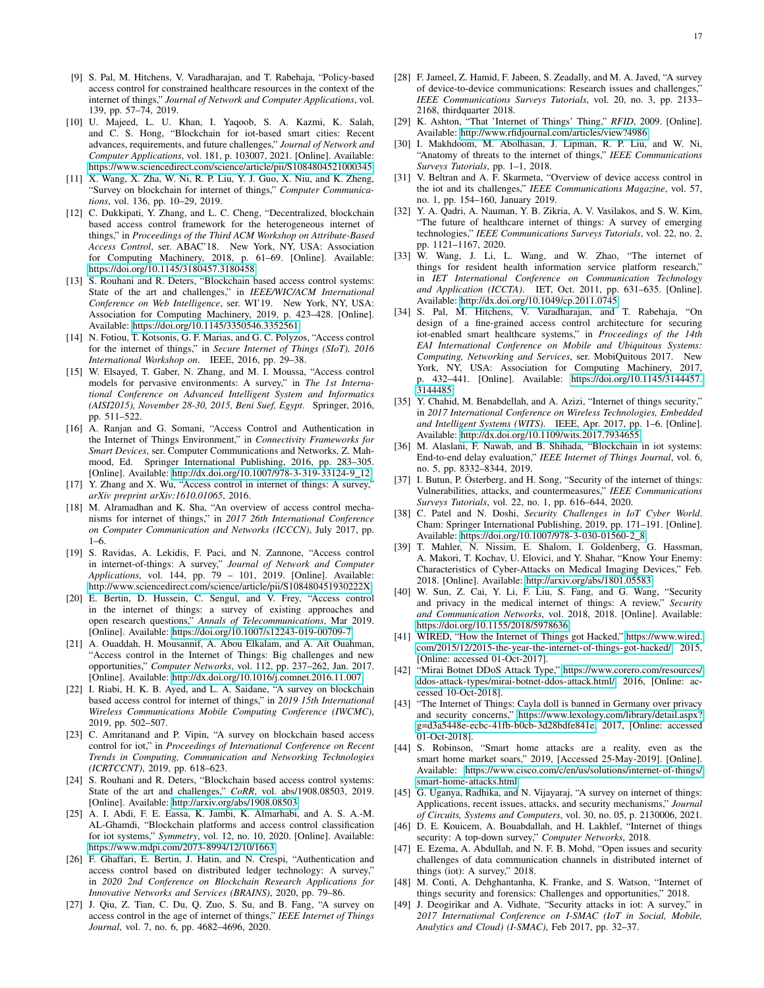- <span id="page-16-0"></span>[9] S. Pal, M. Hitchens, V. Varadharajan, and T. Rabehaja, "Policy-based access control for constrained healthcare resources in the context of the internet of things," *Journal of Network and Computer Applications*, vol. 139, pp. 57–74, 2019.
- <span id="page-16-1"></span>[10] U. Majeed, L. U. Khan, I. Yaqoob, S. A. Kazmi, K. Salah, and C. S. Hong, "Blockchain for iot-based smart cities: Recent advances, requirements, and future challenges," *Journal of Network and Computer Applications*, vol. 181, p. 103007, 2021. [Online]. Available: <https://www.sciencedirect.com/science/article/pii/S1084804521000345>
- <span id="page-16-2"></span>[11] X. Wang, X. Zha, W. Ni, R. P. Liu, Y. J. Guo, X. Niu, and K. Zheng, "Survey on blockchain for internet of things," *Computer Communications*, vol. 136, pp. 10–29, 2019.
- <span id="page-16-3"></span>[12] C. Dukkipati, Y. Zhang, and L. C. Cheng, "Decentralized, blockchain based access control framework for the heterogeneous internet of things," in *Proceedings of the Third ACM Workshop on Attribute-Based Access Control*, ser. ABAC'18. New York, NY, USA: Association for Computing Machinery, 2018, p. 61–69. [Online]. Available: <https://doi.org/10.1145/3180457.3180458>
- <span id="page-16-4"></span>[13] S. Rouhani and R. Deters, "Blockchain based access control systems: State of the art and challenges," in *IEEE/WIC/ACM International Conference on Web Intelligence*, ser. WI'19. New York, NY, USA: Association for Computing Machinery, 2019, p. 423–428. [Online]. Available:<https://doi.org/10.1145/3350546.3352561>
- <span id="page-16-5"></span>[14] N. Fotiou, T. Kotsonis, G. F. Marias, and G. C. Polyzos, "Access control for the internet of things," in *Secure Internet of Things (SIoT), 2016 International Workshop on*. IEEE, 2016, pp. 29–38.
- <span id="page-16-6"></span>[15] W. Elsayed, T. Gaber, N. Zhang, and M. I. Moussa, "Access control models for pervasive environments: A survey," in *The 1st International Conference on Advanced Intelligent System and Informatics (AISI2015), November 28-30, 2015, Beni Suef, Egypt*. Springer, 2016, pp. 511–522.
- <span id="page-16-7"></span>[16] A. Ranjan and G. Somani, "Access Control and Authentication in the Internet of Things Environment," in *Connectivity Frameworks for Smart Devices*, ser. Computer Communications and Networks, Z. Mahmood, Ed. Springer International Publishing, 2016, pp. 283–305. [Online]. Available: [http://dx.doi.org/10.1007/978-3-319-33124-9](http://dx.doi.org/10.1007/978-3-319-33124-9_12)\_12
- <span id="page-16-8"></span>[17] Y. Zhang and X. Wu, "Access control in internet of things: A survey," *arXiv preprint arXiv:1610.01065*, 2016.
- <span id="page-16-9"></span>[18] M. Alramadhan and K. Sha, "An overview of access control mechanisms for internet of things," in *2017 26th International Conference on Computer Communication and Networks (ICCCN)*, July 2017, pp. 1–6.
- <span id="page-16-10"></span>[19] S. Ravidas, A. Lekidis, F. Paci, and N. Zannone, "Access control in internet-of-things: A survey," *Journal of Network and Computer Applications*, vol. 144, pp. 79 – 101, 2019. [Online]. Available: <http://www.sciencedirect.com/science/article/pii/S108480451930222X>
- <span id="page-16-11"></span>[20] E. Bertin, D. Hussein, C. Sengul, and V. Frey, "Access control in the internet of things: a survey of existing approaches and open research questions," *Annals of Telecommunications*, Mar 2019. [Online]. Available:<https://doi.org/10.1007/s12243-019-00709-7>
- <span id="page-16-12"></span>[21] A. Ouaddah, H. Mousannif, A. Abou Elkalam, and A. Ait Ouahman, "Access control in the Internet of Things: Big challenges and new opportunities," *Computer Networks*, vol. 112, pp. 237–262, Jan. 2017. [Online]. Available:<http://dx.doi.org/10.1016/j.comnet.2016.11.007>
- <span id="page-16-13"></span>[22] I. Riabi, H. K. B. Ayed, and L. A. Saidane, "A survey on blockchain based access control for internet of things," in *2019 15th International Wireless Communications Mobile Computing Conference (IWCMC)*, 2019, pp. 502–507.
- <span id="page-16-14"></span>[23] C. Amritanand and P. Vipin, "A survey on blockchain based access control for iot," in *Proceedings of International Conference on Recent Trends in Computing, Communication and Networking Technologies (ICRTCCNT)*, 2019, pp. 618–623.
- <span id="page-16-15"></span>[24] S. Rouhani and R. Deters, "Blockchain based access control systems: State of the art and challenges," *CoRR*, vol. abs/1908.08503, 2019. [Online]. Available:<http://arxiv.org/abs/1908.08503>
- <span id="page-16-16"></span>[25] A. I. Abdi, F. E. Eassa, K. Jambi, K. Almarhabi, and A. S. A.-M. AL-Ghamdi, "Blockchain platforms and access control classification for iot systems," *Symmetry*, vol. 12, no. 10, 2020. [Online]. Available: <https://www.mdpi.com/2073-8994/12/10/1663>
- <span id="page-16-17"></span>[26] F. Ghaffari, E. Bertin, J. Hatin, and N. Crespi, "Authentication and access control based on distributed ledger technology: A survey," in *2020 2nd Conference on Blockchain Research Applications for Innovative Networks and Services (BRAINS)*, 2020, pp. 79–86.
- <span id="page-16-18"></span>[27] J. Qiu, Z. Tian, C. Du, Q. Zuo, S. Su, and B. Fang, "A survey on access control in the age of internet of things," *IEEE Internet of Things Journal*, vol. 7, no. 6, pp. 4682–4696, 2020.
- <span id="page-16-19"></span>[28] F. Jameel, Z. Hamid, F. Jabeen, S. Zeadally, and M. A. Javed, "A survey of device-to-device communications: Research issues and challenges, *IEEE Communications Surveys Tutorials*, vol. 20, no. 3, pp. 2133– 2168, thirdquarter 2018.
- <span id="page-16-20"></span>[29] K. Ashton, "That 'Internet of Things' Thing," *RFID*, 2009. [Online]. Available:<http://www.rfidjournal.com/articles/view?4986>
- <span id="page-16-21"></span>[30] I. Makhdoom, M. Abolhasan, J. Lipman, R. P. Liu, and W. Ni, "Anatomy of threats to the internet of things," *IEEE Communications Surveys Tutorials*, pp. 1–1, 2018.
- <span id="page-16-22"></span>[31] V. Beltran and A. F. Skarmeta, "Overview of device access control in the iot and its challenges," *IEEE Communications Magazine*, vol. 57, no. 1, pp. 154–160, January 2019.
- <span id="page-16-23"></span>[32] Y. A. Qadri, A. Nauman, Y. B. Zikria, A. V. Vasilakos, and S. W. Kim, "The future of healthcare internet of things: A survey of emerging technologies," *IEEE Communications Surveys Tutorials*, vol. 22, no. 2, pp. 1121–1167, 2020.
- <span id="page-16-24"></span>[33] W. Wang, J. Li, L. Wang, and W. Zhao, "The internet of things for resident health information service platform research," in *IET International Conference on Communication Technology and Application (ICCTA)*. IET, Oct. 2011, pp. 631–635. [Online]. Available:<http://dx.doi.org/10.1049/cp.2011.0745>
- <span id="page-16-25"></span>[34] S. Pal, M. Hitchens, V. Varadharajan, and T. Rabehaja, "On design of a fine-grained access control architecture for securing iot-enabled smart healthcare systems," in *Proceedings of the 14th EAI International Conference on Mobile and Ubiquitous Systems: Computing, Networking and Services*, ser. MobiQuitous 2017. New York, NY, USA: Association for Computing Machinery, 2017, p. 432–441. [Online]. Available: [https://doi.org/10.1145/3144457.](https://doi.org/10.1145/3144457.3144485) [3144485](https://doi.org/10.1145/3144457.3144485)
- <span id="page-16-26"></span>[35] Y. Chahid, M. Benabdellah, and A. Azizi, "Internet of things security," in *2017 International Conference on Wireless Technologies, Embedded and Intelligent Systems (WITS)*. IEEE, Apr. 2017, pp. 1–6. [Online]. Available:<http://dx.doi.org/10.1109/wits.2017.7934655>
- <span id="page-16-27"></span>[36] M. Alaslani, F. Nawab, and B. Shihada, "Blockchain in iot systems: End-to-end delay evaluation," *IEEE Internet of Things Journal*, vol. 6, no. 5, pp. 8332–8344, 2019.
- <span id="page-16-28"></span>[37] I. Butun, P. Österberg, and H. Song, "Security of the internet of things: Vulnerabilities, attacks, and countermeasures," *IEEE Communications Surveys Tutorials*, vol. 22, no. 1, pp. 616–644, 2020.
- <span id="page-16-29"></span>[38] C. Patel and N. Doshi, *Security Challenges in IoT Cyber World*. Cham: Springer International Publishing, 2019, pp. 171–191. [Online]. Available: [https://doi.org/10.1007/978-3-030-01560-2](https://doi.org/10.1007/978-3-030-01560-2_8) 8
- <span id="page-16-30"></span>[39] T. Mahler, N. Nissim, E. Shalom, I. Goldenberg, G. Hassman, A. Makori, T. Kochav, U. Elovici, and Y. Shahar, "Know Your Enemy: Characteristics of Cyber-Attacks on Medical Imaging Devices," Feb. 2018. [Online]. Available:<http://arxiv.org/abs/1801.05583>
- <span id="page-16-31"></span>[40] W. Sun, Z. Cai, Y. Li, F. Liu, S. Fang, and G. Wang, "Security and privacy in the medical internet of things: A review," *Security and Communication Networks*, vol. 2018, 2018. [Online]. Available: <https://doi.org/10.1155/2018/5978636>
- <span id="page-16-32"></span>[41] WIRED, "How the Internet of Things got Hacked," [https://www.wired.](https://www.wired.com/2015/12/2015-the-year-the-internet-of-things-got-hacked/) [com/2015/12/2015-the-year-the-internet-of-things-got-hacked/,](https://www.wired.com/2015/12/2015-the-year-the-internet-of-things-got-hacked/) 2015, [Online: accessed 01-Oct-2017].
- <span id="page-16-33"></span>[42] "Mirai Botnet DDoS Attack Type," [https://www.corero.com/resources/](https://www.corero.com/resources/ddos-attack-types/mirai-botnet-ddos-attack.html/) [ddos-attack-types/mirai-botnet-ddos-attack.html/,](https://www.corero.com/resources/ddos-attack-types/mirai-botnet-ddos-attack.html/) 2016, [Online: accessed 10-Oct-2018].
- <span id="page-16-34"></span>[43] "The Internet of Things: Cayla doll is banned in Germany over privacy and security concerns," [https://www.lexology.com/library/detail.aspx?](https://www.lexology.com/library/detail.aspx?g=d3a5448e-ecbc-41fb-b0cb-3d28bdfe841e) [g=d3a5448e-ecbc-41fb-b0cb-3d28bdfe841e,](https://www.lexology.com/library/detail.aspx?g=d3a5448e-ecbc-41fb-b0cb-3d28bdfe841e) 2017, [Online: accessed 01-Oct-2018].
- <span id="page-16-35"></span>[44] S. Robinson, "Smart home attacks are a reality, even as the smart home market soars," 2019, [Accessed 25-May-2019]. [Online]. Available: [https://www.cisco.com/c/en/us/solutions/internet-of-things/](https://www.cisco.com/c/en/us/solutions/internet-of-things/smart-home-attacks.html) [smart-home-attacks.html](https://www.cisco.com/c/en/us/solutions/internet-of-things/smart-home-attacks.html)
- <span id="page-16-36"></span>[45] G. Uganya, Radhika, and N. Vijayaraj, "A survey on internet of things: Applications, recent issues, attacks, and security mechanisms," *Journal of Circuits, Systems and Computers*, vol. 30, no. 05, p. 2130006, 2021.
- <span id="page-16-37"></span>[46] D. E. Kouicem, A. Bouabdallah, and H. Lakhlef, "Internet of things security: A top-down survey," *Computer Networks*, 2018.
- <span id="page-16-38"></span>[47] E. Ezema, A. Abdullah, and N. F. B. Mohd, "Open issues and security challenges of data communication channels in distributed internet of things (iot): A survey," 2018.
- <span id="page-16-39"></span>[48] M. Conti, A. Dehghantanha, K. Franke, and S. Watson, "Internet of things security and forensics: Challenges and opportunities," 2018.
- <span id="page-16-40"></span>[49] J. Deogirikar and A. Vidhate, "Security attacks in iot: A survey," in *2017 International Conference on I-SMAC (IoT in Social, Mobile, Analytics and Cloud) (I-SMAC)*, Feb 2017, pp. 32–37.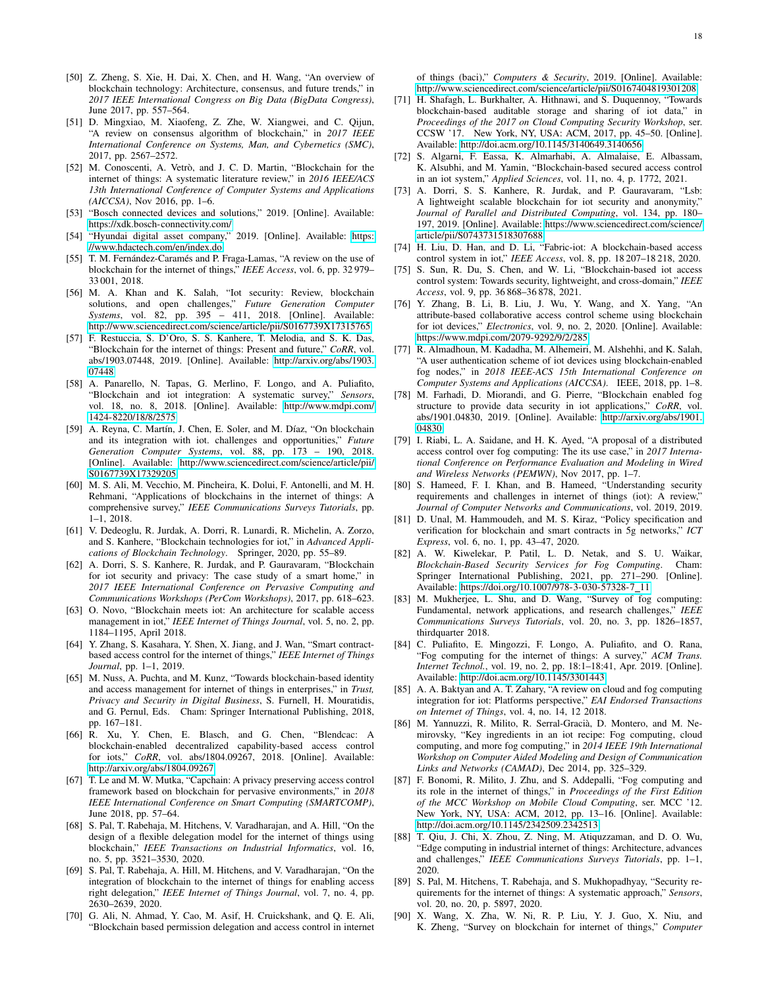- <span id="page-17-0"></span>[50] Z. Zheng, S. Xie, H. Dai, X. Chen, and H. Wang, "An overview of blockchain technology: Architecture, consensus, and future trends," in *2017 IEEE International Congress on Big Data (BigData Congress)*, June 2017, pp. 557–564.
- <span id="page-17-1"></span>[51] D. Mingxiao, M. Xiaofeng, Z. Zhe, W. Xiangwei, and C. Qijun, "A review on consensus algorithm of blockchain," in *2017 IEEE International Conference on Systems, Man, and Cybernetics (SMC)*, 2017, pp. 2567–2572.
- <span id="page-17-2"></span>[52] M. Conoscenti, A. Vetrò, and J. C. D. Martin, "Blockchain for the internet of things: A systematic literature review," in *2016 IEEE/ACS 13th International Conference of Computer Systems and Applications (AICCSA)*, Nov 2016, pp. 1–6.
- <span id="page-17-3"></span>[53] "Bosch connected devices and solutions," 2019. [Online]. Available: <https://xdk.bosch-connectivity.com/>
- <span id="page-17-4"></span>[54] "Hyundai digital asset company," 2019. [Online]. Available: [https:](https://www.hdactech.com/en/index.do) [//www.hdactech.com/en/index.do](https://www.hdactech.com/en/index.do)
- <span id="page-17-5"></span>[55] T. M. Fernández-Caramés and P. Fraga-Lamas, "A review on the use of blockchain for the internet of things," *IEEE Access*, vol. 6, pp. 32 979– 33 001, 2018.
- <span id="page-17-6"></span>[56] M. A. Khan and K. Salah, "Iot security: Review, blockchain solutions, and open challenges," *Future Generation Computer Systems*, vol. 82, pp. 395 – 411, 2018. [Online]. Available: <http://www.sciencedirect.com/science/article/pii/S0167739X17315765>
- <span id="page-17-7"></span>[57] F. Restuccia, S. D'Oro, S. S. Kanhere, T. Melodia, and S. K. Das, "Blockchain for the internet of things: Present and future," *CoRR*, vol. abs/1903.07448, 2019. [Online]. Available: [http://arxiv.org/abs/1903.](http://arxiv.org/abs/1903.07448) [07448](http://arxiv.org/abs/1903.07448)
- <span id="page-17-8"></span>[58] A. Panarello, N. Tapas, G. Merlino, F. Longo, and A. Puliafito, "Blockchain and iot integration: A systematic survey," *Sensors*, vol. 18, no. 8, 2018. [Online]. Available: [http://www.mdpi.com/](http://www.mdpi.com/1424-8220/18/8/2575) [1424-8220/18/8/2575](http://www.mdpi.com/1424-8220/18/8/2575)
- <span id="page-17-9"></span>[59] A. Reyna, C. Martín, J. Chen, E. Soler, and M. Díaz, "On blockchain and its integration with iot. challenges and opportunities," *Future Generation Computer Systems*, vol. 88, pp. 173 – 190, 2018. [Online]. Available: [http://www.sciencedirect.com/science/article/pii/](http://www.sciencedirect.com/science/article/pii/S0167739X17329205) [S0167739X17329205](http://www.sciencedirect.com/science/article/pii/S0167739X17329205)
- <span id="page-17-10"></span>[60] M. S. Ali, M. Vecchio, M. Pincheira, K. Dolui, F. Antonelli, and M. H. Rehmani, "Applications of blockchains in the internet of things: A comprehensive survey," *IEEE Communications Surveys Tutorials*, pp. 1–1, 2018.
- <span id="page-17-11"></span>[61] V. Dedeoglu, R. Jurdak, A. Dorri, R. Lunardi, R. Michelin, A. Zorzo, and S. Kanhere, "Blockchain technologies for iot," in *Advanced Applications of Blockchain Technology*. Springer, 2020, pp. 55–89.
- <span id="page-17-12"></span>[62] A. Dorri, S. S. Kanhere, R. Jurdak, and P. Gauravaram, "Blockchain for iot security and privacy: The case study of a smart home," in *2017 IEEE International Conference on Pervasive Computing and Communications Workshops (PerCom Workshops)*, 2017, pp. 618–623.
- <span id="page-17-14"></span>[63] O. Novo, "Blockchain meets iot: An architecture for scalable access management in iot," *IEEE Internet of Things Journal*, vol. 5, no. 2, pp. 1184–1195, April 2018.
- <span id="page-17-15"></span>[64] Y. Zhang, S. Kasahara, Y. Shen, X. Jiang, and J. Wan, "Smart contractbased access control for the internet of things," *IEEE Internet of Things Journal*, pp. 1–1, 2019.
- <span id="page-17-16"></span>[65] M. Nuss, A. Puchta, and M. Kunz, "Towards blockchain-based identity and access management for internet of things in enterprises," in *Trust, Privacy and Security in Digital Business*, S. Furnell, H. Mouratidis, and G. Pernul, Eds. Cham: Springer International Publishing, 2018, pp. 167–181.
- <span id="page-17-17"></span>[66] R. Xu, Y. Chen, E. Blasch, and G. Chen, "Blendcac: A blockchain-enabled decentralized capability-based access control for iots," *CoRR*, vol. abs/1804.09267, 2018. [Online]. Available: <http://arxiv.org/abs/1804.09267>
- <span id="page-17-18"></span>[67] T. Le and M. W. Mutka, "Capchain: A privacy preserving access control framework based on blockchain for pervasive environments," in *2018 IEEE International Conference on Smart Computing (SMARTCOMP)*, June 2018, pp. 57–64.
- <span id="page-17-19"></span>[68] S. Pal, T. Rabehaja, M. Hitchens, V. Varadharajan, and A. Hill, "On the design of a flexible delegation model for the internet of things using blockchain," *IEEE Transactions on Industrial Informatics*, vol. 16, no. 5, pp. 3521–3530, 2020.
- <span id="page-17-20"></span>[69] S. Pal, T. Rabehaja, A. Hill, M. Hitchens, and V. Varadharajan, "On the integration of blockchain to the internet of things for enabling access right delegation," *IEEE Internet of Things Journal*, vol. 7, no. 4, pp. 2630–2639, 2020.
- <span id="page-17-21"></span>[70] G. Ali, N. Ahmad, Y. Cao, M. Asif, H. Cruickshank, and Q. E. Ali, "Blockchain based permission delegation and access control in internet

of things (baci)," *Computers & Security*, 2019. [Online]. Available: <http://www.sciencedirect.com/science/article/pii/S0167404819301208>

- <span id="page-17-22"></span>[71] H. Shafagh, L. Burkhalter, A. Hithnawi, and S. Duquennoy, "Towards blockchain-based auditable storage and sharing of iot data," in *Proceedings of the 2017 on Cloud Computing Security Workshop*, ser. CCSW '17. New York, NY, USA: ACM, 2017, pp. 45–50. [Online]. Available:<http://doi.acm.org/10.1145/3140649.3140656>
- <span id="page-17-23"></span>[72] S. Algarni, F. Eassa, K. Almarhabi, A. Almalaise, E. Albassam, K. Alsubhi, and M. Yamin, "Blockchain-based secured access control in an iot system," *Applied Sciences*, vol. 11, no. 4, p. 1772, 2021.
- <span id="page-17-24"></span>[73] A. Dorri, S. S. Kanhere, R. Jurdak, and P. Gauravaram, "Lsb: A lightweight scalable blockchain for iot security and anonymity," *Journal of Parallel and Distributed Computing*, vol. 134, pp. 180– 197, 2019. [Online]. Available: [https://www.sciencedirect.com/science/](https://www.sciencedirect.com/science/article/pii/S0743731518307688) [article/pii/S0743731518307688](https://www.sciencedirect.com/science/article/pii/S0743731518307688)
- <span id="page-17-25"></span>[74] H. Liu, D. Han, and D. Li, "Fabric-iot: A blockchain-based access control system in iot," *IEEE Access*, vol. 8, pp. 18 207–18 218, 2020.
- <span id="page-17-26"></span>[75] S. Sun, R. Du, S. Chen, and W. Li, "Blockchain-based iot access control system: Towards security, lightweight, and cross-domain," *IEEE Access*, vol. 9, pp. 36 868–36 878, 2021.
- <span id="page-17-27"></span>[76] Y. Zhang, B. Li, B. Liu, J. Wu, Y. Wang, and X. Yang, "An attribute-based collaborative access control scheme using blockchain for iot devices," *Electronics*, vol. 9, no. 2, 2020. [Online]. Available: <https://www.mdpi.com/2079-9292/9/2/285>
- <span id="page-17-28"></span>[77] R. Almadhoun, M. Kadadha, M. Alhemeiri, M. Alshehhi, and K. Salah, "A user authentication scheme of iot devices using blockchain-enabled fog nodes," in *2018 IEEE-ACS 15th International Conference on Computer Systems and Applications (AICCSA)*. IEEE, 2018, pp. 1–8.
- <span id="page-17-29"></span>[78] M. Farhadi, D. Miorandi, and G. Pierre, "Blockchain enabled fog structure to provide data security in iot applications," *CoRR*, vol. abs/1901.04830, 2019. [Online]. Available: [http://arxiv.org/abs/1901.](http://arxiv.org/abs/1901.04830) [04830](http://arxiv.org/abs/1901.04830)
- <span id="page-17-30"></span>[79] I. Riabi, L. A. Saidane, and H. K. Ayed, "A proposal of a distributed access control over fog computing: The its use case," in *2017 International Conference on Performance Evaluation and Modeling in Wired and Wireless Networks (PEMWN)*, Nov 2017, pp. 1–7.
- <span id="page-17-13"></span>[80] S. Hameed, F. I. Khan, and B. Hameed, "Understanding security requirements and challenges in internet of things (iot): A review," *Journal of Computer Networks and Communications*, vol. 2019, 2019.
- <span id="page-17-31"></span>[81] D. Unal, M. Hammoudeh, and M. S. Kiraz, "Policy specification and verification for blockchain and smart contracts in 5g networks," *ICT Express*, vol. 6, no. 1, pp. 43–47, 2020.
- <span id="page-17-32"></span>[82] A. W. Kiwelekar, P. Patil, L. D. Netak, and S. U. Waikar, *Blockchain-Based Security Services for Fog Computing*. Cham: Springer International Publishing, 2021, pp. 271–290. [Online]. Available: [https://doi.org/10.1007/978-3-030-57328-7](https://doi.org/10.1007/978-3-030-57328-7_11) 11
- <span id="page-17-33"></span>[83] M. Mukherjee, L. Shu, and D. Wang, "Survey of fog computing: Fundamental, network applications, and research challenges," *IEEE Communications Surveys Tutorials*, vol. 20, no. 3, pp. 1826–1857, thirdquarter 2018.
- <span id="page-17-34"></span>[84] C. Puliafito, E. Mingozzi, F. Longo, A. Puliafito, and O. Rana, "Fog computing for the internet of things: A survey," *ACM Trans. Internet Technol.*, vol. 19, no. 2, pp. 18:1–18:41, Apr. 2019. [Online]. Available:<http://doi.acm.org/10.1145/3301443>
- <span id="page-17-35"></span>[85] A. A. Baktyan and A. T. Zahary, "A review on cloud and fog computing integration for iot: Platforms perspective," *EAI Endorsed Transactions on Internet of Things*, vol. 4, no. 14, 12 2018.
- <span id="page-17-36"></span>[86] M. Yannuzzi, R. Milito, R. Serral-Gracià, D. Montero, and M. Nemirovsky, "Key ingredients in an iot recipe: Fog computing, cloud computing, and more fog computing," in *2014 IEEE 19th International Workshop on Computer Aided Modeling and Design of Communication Links and Networks (CAMAD)*, Dec 2014, pp. 325–329.
- <span id="page-17-37"></span>[87] F. Bonomi, R. Milito, J. Zhu, and S. Addepalli, "Fog computing and its role in the internet of things," in *Proceedings of the First Edition of the MCC Workshop on Mobile Cloud Computing*, ser. MCC '12. New York, NY, USA: ACM, 2012, pp. 13–16. [Online]. Available: <http://doi.acm.org/10.1145/2342509.2342513>
- <span id="page-17-38"></span>[88] T. Qiu, J. Chi, X. Zhou, Z. Ning, M. Atiquzzaman, and D. O. Wu, "Edge computing in industrial internet of things: Architecture, advances and challenges," *IEEE Communications Surveys Tutorials*, pp. 1–1, 2020.
- <span id="page-17-39"></span>[89] S. Pal, M. Hitchens, T. Rabehaja, and S. Mukhopadhyay, "Security requirements for the internet of things: A systematic approach," *Sensors*, vol. 20, no. 20, p. 5897, 2020.
- <span id="page-17-40"></span>[90] X. Wang, X. Zha, W. Ni, R. P. Liu, Y. J. Guo, X. Niu, and K. Zheng, "Survey on blockchain for internet of things," *Computer*